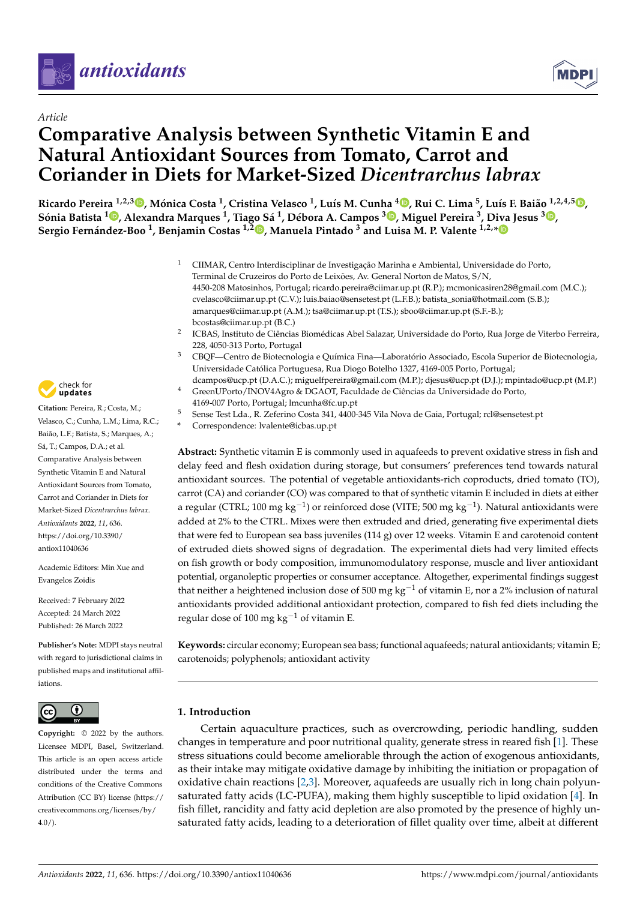



# **Comparative Analysis between Synthetic Vitamin E and Natural Antioxidant Sources from Tomato, Carrot and Coriander in Diets for Market-Sized** *Dicentrarchus labrax*

Ricardo Pereira <sup>1[,](https://orcid.org/0000-0002-8532-5132)2,3</sup>®, Mónica Costa <sup>1</sup>, Cristina Velasco <sup>1</sup>, Luís M. Cunha <sup>4</sup>®, Rui C. Lima <sup>5</sup>, Luís F. Baião <sup>1,2,4,5</sup>®, Sónia Batista <sup>1</sup>®[,](https://orcid.org/0000-0002-4461-3007) Alexandra Marques <sup>1</sup>, Tiago Sá <sup>1</sup>, Débora A. Campos <sup>[3](https://orcid.org/0000-0003-0174-6640)</sup>®, Miguel Pereira <sup>3</sup>, Diva Jesus <sup>3</sup>®, **Sergio Fernández-Boo <sup>1</sup> , Benjamin Costas 1,2 [,](https://orcid.org/0000-0003-3758-0849) Manuela Pintado <sup>3</sup> and Luisa M. P. Valente 1,2,[\\*](https://orcid.org/0000-0002-2496-4854)**

- <sup>1</sup> CIIMAR, Centro Interdisciplinar de Investigação Marinha e Ambiental, Universidade do Porto, Terminal de Cruzeiros do Porto de Leixões, Av. General Norton de Matos, S/N, 4450-208 Matosinhos, Portugal; ricardo.pereira@ciimar.up.pt (R.P.); mcmonicasiren28@gmail.com (M.C.); cvelasco@ciimar.up.pt (C.V.); luis.baiao@sensetest.pt (L.F.B.); batista\_sonia@hotmail.com (S.B.); amarques@ciimar.up.pt (A.M.); tsa@ciimar.up.pt (T.S.); sboo@ciimar.up.pt (S.F.-B.); bcostas@ciimar.up.pt (B.C.)
- 2 ICBAS, Instituto de Ciências Biomédicas Abel Salazar, Universidade do Porto, Rua Jorge de Viterbo Ferreira, 228, 4050-313 Porto, Portugal
- <sup>3</sup> CBQF—Centro de Biotecnologia e Química Fina—Laboratório Associado, Escola Superior de Biotecnologia, Universidade Católica Portuguesa, Rua Diogo Botelho 1327, 4169-005 Porto, Portugal;
- dcampos@ucp.pt (D.A.C.); miguelfpereira@gmail.com (M.P.); djesus@ucp.pt (D.J.); mpintado@ucp.pt (M.P.) GreenUPorto/INOV4Agro & DGAOT, Faculdade de Ciências da Universidade do Porto,
	- 4169-007 Porto, Portugal; lmcunha@fc.up.pt
- <sup>5</sup> Sense Test Lda., R. Zeferino Costa 341, 4400-345 Vila Nova de Gaia, Portugal; rcl@sensetest.pt
- **\*** Correspondence: lvalente@icbas.up.pt

**Abstract:** Synthetic vitamin E is commonly used in aquafeeds to prevent oxidative stress in fish and delay feed and flesh oxidation during storage, but consumers' preferences tend towards natural antioxidant sources. The potential of vegetable antioxidants-rich coproducts, dried tomato (TO), carrot (CA) and coriander (CO) was compared to that of synthetic vitamin E included in diets at either a regular (CTRL; 100 mg kg<sup>-1</sup>) or reinforced dose (VITE; 500 mg kg<sup>-1</sup>). Natural antioxidants were added at 2% to the CTRL. Mixes were then extruded and dried, generating five experimental diets that were fed to European sea bass juveniles (114 g) over 12 weeks. Vitamin E and carotenoid content of extruded diets showed signs of degradation. The experimental diets had very limited effects on fish growth or body composition, immunomodulatory response, muscle and liver antioxidant potential, organoleptic properties or consumer acceptance. Altogether, experimental findings suggest that neither a heightened inclusion dose of 500 mg kg<sup>-1</sup> of vitamin E, nor a 2% inclusion of natural antioxidants provided additional antioxidant protection, compared to fish fed diets including the regular dose of 100 mg kg<sup>-1</sup> of vitamin E.

**Keywords:** circular economy; European sea bass; functional aquafeeds; natural antioxidants; vitamin E; carotenoids; polyphenols; antioxidant activity

## **1. Introduction**

Certain aquaculture practices, such as overcrowding, periodic handling, sudden changes in temperature and poor nutritional quality, generate stress in reared fish [\[1\]](#page-20-0). These stress situations could become ameliorable through the action of exogenous antioxidants, as their intake may mitigate oxidative damage by inhibiting the initiation or propagation of oxidative chain reactions [\[2,](#page-20-1)[3\]](#page-20-2). Moreover, aquafeeds are usually rich in long chain polyunsaturated fatty acids (LC-PUFA), making them highly susceptible to lipid oxidation [\[4\]](#page-20-3). In fish fillet, rancidity and fatty acid depletion are also promoted by the presence of highly unsaturated fatty acids, leading to a deterioration of fillet quality over time, albeit at different



**Citation:** Pereira, R.; Costa, M.; Velasco, C.; Cunha, L.M.; Lima, R.C.; Baião, L.F.; Batista, S.; Marques, A.; Sá, T.; Campos, D.A.; et al. Comparative Analysis between Synthetic Vitamin E and Natural Antioxidant Sources from Tomato, Carrot and Coriander in Diets for Market-Sized *Dicentrarchus labrax*. *Antioxidants* **2022**, *11*, 636. [https://doi.org/10.3390/](https://doi.org/10.3390/antiox11040636) [antiox11040636](https://doi.org/10.3390/antiox11040636)

Academic Editors: Min Xue and Evangelos Zoidis

Received: 7 February 2022 Accepted: 24 March 2022 Published: 26 March 2022

**Publisher's Note:** MDPI stays neutral with regard to jurisdictional claims in published maps and institutional affiliations.



**Copyright:** © 2022 by the authors. Licensee MDPI, Basel, Switzerland. This article is an open access article distributed under the terms and conditions of the Creative Commons Attribution (CC BY) license [\(https://](https://creativecommons.org/licenses/by/4.0/) [creativecommons.org/licenses/by/](https://creativecommons.org/licenses/by/4.0/)  $4.0/$ ).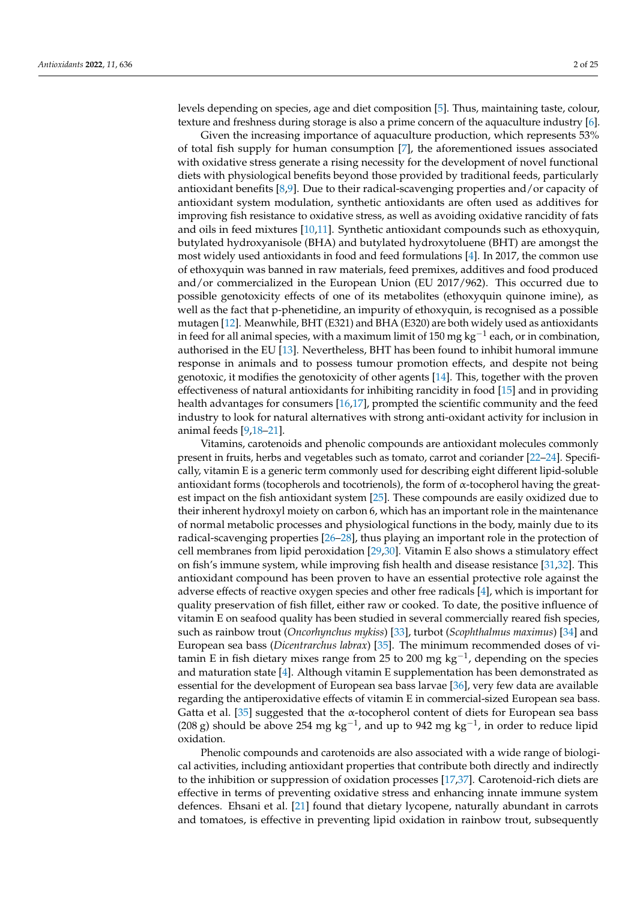levels depending on species, age and diet composition [\[5\]](#page-20-4). Thus, maintaining taste, colour, texture and freshness during storage is also a prime concern of the aquaculture industry [\[6\]](#page-20-5).

Given the increasing importance of aquaculture production, which represents 53% of total fish supply for human consumption [\[7\]](#page-20-6), the aforementioned issues associated with oxidative stress generate a rising necessity for the development of novel functional diets with physiological benefits beyond those provided by traditional feeds, particularly antioxidant benefits [\[8](#page-20-7)[,9\]](#page-20-8). Due to their radical-scavenging properties and/or capacity of antioxidant system modulation, synthetic antioxidants are often used as additives for improving fish resistance to oxidative stress, as well as avoiding oxidative rancidity of fats and oils in feed mixtures [\[10,](#page-20-9)[11\]](#page-20-10). Synthetic antioxidant compounds such as ethoxyquin, butylated hydroxyanisole (BHA) and butylated hydroxytoluene (BHT) are amongst the most widely used antioxidants in food and feed formulations [\[4\]](#page-20-3). In 2017, the common use of ethoxyquin was banned in raw materials, feed premixes, additives and food produced and/or commercialized in the European Union (EU 2017/962). This occurred due to possible genotoxicity effects of one of its metabolites (ethoxyquin quinone imine), as well as the fact that p-phenetidine, an impurity of ethoxyquin, is recognised as a possible mutagen [\[12\]](#page-20-11). Meanwhile, BHT (E321) and BHA (E320) are both widely used as antioxidants in feed for all animal species, with a maximum limit of 150 mg kg $^{-1}$  each, or in combination, authorised in the EU [\[13\]](#page-20-12). Nevertheless, BHT has been found to inhibit humoral immune response in animals and to possess tumour promotion effects, and despite not being genotoxic, it modifies the genotoxicity of other agents [\[14\]](#page-20-13). This, together with the proven effectiveness of natural antioxidants for inhibiting rancidity in food [\[15\]](#page-20-14) and in providing health advantages for consumers [\[16,](#page-20-15)[17\]](#page-20-16), prompted the scientific community and the feed industry to look for natural alternatives with strong anti-oxidant activity for inclusion in animal feeds [\[9,](#page-20-8)[18–](#page-21-0)[21\]](#page-21-1).

Vitamins, carotenoids and phenolic compounds are antioxidant molecules commonly present in fruits, herbs and vegetables such as tomato, carrot and coriander [\[22](#page-21-2)[–24\]](#page-21-3). Specifically, vitamin E is a generic term commonly used for describing eight different lipid-soluble antioxidant forms (tocopherols and tocotrienols), the form of α-tocopherol having the greatest impact on the fish antioxidant system [\[25\]](#page-21-4). These compounds are easily oxidized due to their inherent hydroxyl moiety on carbon 6, which has an important role in the maintenance of normal metabolic processes and physiological functions in the body, mainly due to its radical-scavenging properties [\[26–](#page-21-5)[28\]](#page-21-6), thus playing an important role in the protection of cell membranes from lipid peroxidation [\[29,](#page-21-7)[30\]](#page-21-8). Vitamin E also shows a stimulatory effect on fish's immune system, while improving fish health and disease resistance [\[31](#page-21-9)[,32\]](#page-21-10). This antioxidant compound has been proven to have an essential protective role against the adverse effects of reactive oxygen species and other free radicals [\[4\]](#page-20-3), which is important for quality preservation of fish fillet, either raw or cooked. To date, the positive influence of vitamin E on seafood quality has been studied in several commercially reared fish species, such as rainbow trout (*Oncorhynchus mykiss*) [\[33\]](#page-21-11), turbot (*Scophthalmus maximus*) [\[34\]](#page-21-12) and European sea bass (*Dicentrarchus labrax*) [\[35\]](#page-21-13). The minimum recommended doses of vitamin E in fish dietary mixes range from 25 to 200 mg  $kg^{-1}$ , depending on the species and maturation state [\[4\]](#page-20-3). Although vitamin E supplementation has been demonstrated as essential for the development of European sea bass larvae [\[36\]](#page-21-14), very few data are available regarding the antiperoxidative effects of vitamin E in commercial-sized European sea bass. Gatta et al. [\[35\]](#page-21-13) suggested that the  $\alpha$ -tocopherol content of diets for European sea bass (208 g) should be above 254 mg kg<sup>-1</sup>, and up to 942 mg kg<sup>-1</sup>, in order to reduce lipid oxidation.

Phenolic compounds and carotenoids are also associated with a wide range of biological activities, including antioxidant properties that contribute both directly and indirectly to the inhibition or suppression of oxidation processes [\[17,](#page-20-16)[37\]](#page-21-15). Carotenoid-rich diets are effective in terms of preventing oxidative stress and enhancing innate immune system defences. Ehsani et al. [\[21\]](#page-21-1) found that dietary lycopene, naturally abundant in carrots and tomatoes, is effective in preventing lipid oxidation in rainbow trout, subsequently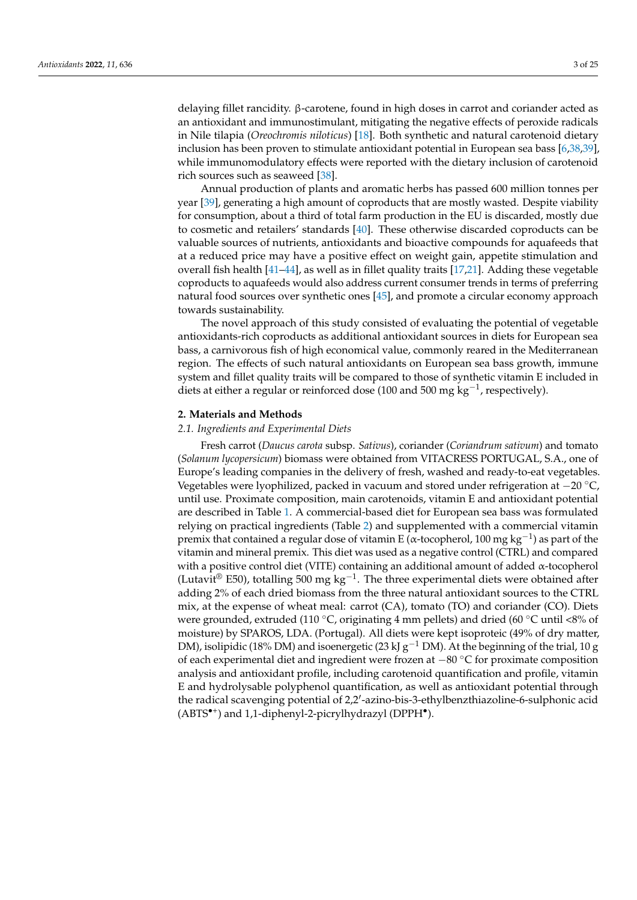delaying fillet rancidity. β-carotene, found in high doses in carrot and coriander acted as an antioxidant and immunostimulant, mitigating the negative effects of peroxide radicals in Nile tilapia (*Oreochromis niloticus*) [\[18\]](#page-21-0). Both synthetic and natural carotenoid dietary inclusion has been proven to stimulate antioxidant potential in European sea bass [\[6](#page-20-5)[,38](#page-21-16)[,39\]](#page-21-17), while immunomodulatory effects were reported with the dietary inclusion of carotenoid rich sources such as seaweed [\[38\]](#page-21-16).

Annual production of plants and aromatic herbs has passed 600 million tonnes per year [\[39\]](#page-21-17), generating a high amount of coproducts that are mostly wasted. Despite viability for consumption, about a third of total farm production in the EU is discarded, mostly due to cosmetic and retailers' standards [\[40\]](#page-21-18). These otherwise discarded coproducts can be valuable sources of nutrients, antioxidants and bioactive compounds for aquafeeds that at a reduced price may have a positive effect on weight gain, appetite stimulation and overall fish health [\[41](#page-21-19)[–44\]](#page-21-20), as well as in fillet quality traits [\[17,](#page-20-16)[21\]](#page-21-1). Adding these vegetable coproducts to aquafeeds would also address current consumer trends in terms of preferring natural food sources over synthetic ones [\[45\]](#page-22-0), and promote a circular economy approach towards sustainability.

The novel approach of this study consisted of evaluating the potential of vegetable antioxidants-rich coproducts as additional antioxidant sources in diets for European sea bass, a carnivorous fish of high economical value, commonly reared in the Mediterranean region. The effects of such natural antioxidants on European sea bass growth, immune system and fillet quality traits will be compared to those of synthetic vitamin E included in diets at either a regular or reinforced dose (100 and 500 mg  $kg^{-1}$ , respectively).

#### **2. Materials and Methods**

#### *2.1. Ingredients and Experimental Diets*

Fresh carrot (*Daucus carota* subsp. *Sativus*), coriander (*Coriandrum sativum*) and tomato (*Solanum lycopersicum*) biomass were obtained from VITACRESS PORTUGAL, S.A., one of Europe's leading companies in the delivery of fresh, washed and ready-to-eat vegetables. Vegetables were lyophilized, packed in vacuum and stored under refrigeration at −20 ◦C, until use. Proximate composition, main carotenoids, vitamin E and antioxidant potential are described in Table [1.](#page-3-0) A commercial-based diet for European sea bass was formulated relying on practical ingredients (Table [2\)](#page-3-1) and supplemented with a commercial vitamin premix that contained a regular dose of vitamin E (α-tocopherol, 100 mg kg<sup>-1</sup>) as part of the vitamin and mineral premix. This diet was used as a negative control (CTRL) and compared with a positive control diet (VITE) containing an additional amount of added  $\alpha$ -tocopherol (Lutavit<sup>®</sup> E50), totalling 500 mg kg<sup>-1</sup>. The three experimental diets were obtained after adding 2% of each dried biomass from the three natural antioxidant sources to the CTRL mix, at the expense of wheat meal: carrot (CA), tomato (TO) and coriander (CO). Diets were grounded, extruded (110 °C, originating 4 mm pellets) and dried (60 °C until <8% of moisture) by SPAROS, LDA. (Portugal). All diets were kept isoproteic (49% of dry matter, DM), isolipidic (18% DM) and isoenergetic (23 kJ g<sup>-1</sup> DM). At the beginning of the trial, 10 g of each experimental diet and ingredient were frozen at −80 ◦C for proximate composition analysis and antioxidant profile, including carotenoid quantification and profile, vitamin E and hydrolysable polyphenol quantification, as well as antioxidant potential through the radical scavenging potential of 2,2'-azino-bis-3-ethylbenzthiazoline-6-sulphonic acid (ABTS<sup>\*+</sup>) and 1,1-diphenyl-2-picrylhydrazyl (DPPH<sup>\*</sup>).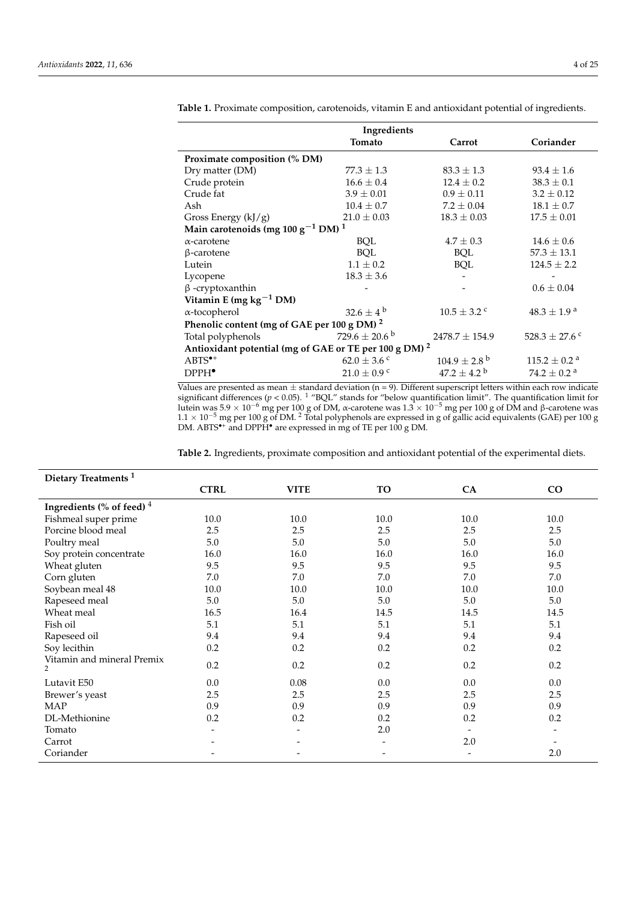| Ingredients                                                                            |                         |                              |  |  |  |  |  |
|----------------------------------------------------------------------------------------|-------------------------|------------------------------|--|--|--|--|--|
| Tomato                                                                                 | Carrot                  | Coriander                    |  |  |  |  |  |
| Proximate composition (% DM)                                                           |                         |                              |  |  |  |  |  |
| $77.3 \pm 1.3$                                                                         | $83.3 \pm 1.3$          | $93.4 \pm 1.6$               |  |  |  |  |  |
| $16.6 \pm 0.4$                                                                         | $12.4 \pm 0.2$          | $38.3 \pm 0.1$               |  |  |  |  |  |
| $3.9 \pm 0.01$                                                                         | $0.9 \pm 0.11$          | $3.2 \pm 0.12$               |  |  |  |  |  |
| $10.4 \pm 0.7$                                                                         | $7.2 \pm 0.04$          | $18.1 \pm 0.7$               |  |  |  |  |  |
| $21.0 \pm 0.03$                                                                        | $18.3 \pm 0.03$         | $17.5 \pm 0.01$              |  |  |  |  |  |
| Gross Energy $(kJ/g)$<br>Main carotenoids (mg 100 g <sup>-1</sup> DM) <sup>1</sup>     |                         |                              |  |  |  |  |  |
| <b>BQL</b>                                                                             | $4.7 \pm 0.3$           | $14.6 \pm 0.6$               |  |  |  |  |  |
| <b>BOL</b>                                                                             | BQL                     | $57.3 \pm 13.1$              |  |  |  |  |  |
| $1.1 \pm 0.2$                                                                          | BQL                     | $124.5 \pm 2.2$              |  |  |  |  |  |
| $18.3 \pm 3.6$                                                                         |                         |                              |  |  |  |  |  |
|                                                                                        |                         | $0.6 \pm 0.04$               |  |  |  |  |  |
|                                                                                        |                         |                              |  |  |  |  |  |
| $32.6 \pm 4^{b}$                                                                       | $10.5 \pm 3.2$ c        | $48.3 \pm 1.9^{\text{ a}}$   |  |  |  |  |  |
| α-tocopherol<br>Phenolic content (mg of GAE per 100 g DM) <sup>2</sup>                 |                         |                              |  |  |  |  |  |
| $729.6\pm20.6$ $^{\rm b}$                                                              |                         | 528.3 $\pm$ 27.6 °           |  |  |  |  |  |
| Total polyphenols<br>Antioxidant potential (mg of GAE or TE per 100 g DM) <sup>2</sup> |                         |                              |  |  |  |  |  |
| 62.0 $\pm$ 3.6 °                                                                       | $104.9 \pm 2.8^{\circ}$ | $115.2 \pm 0.2$ <sup>a</sup> |  |  |  |  |  |
| $21.0 \pm 0.9$ c                                                                       | $47.2 \pm 4.2^{\circ}$  | 74.2 $\pm$ 0.2 <sup>a</sup>  |  |  |  |  |  |
|                                                                                        |                         | $2478.7 \pm 154.9$           |  |  |  |  |  |

<span id="page-3-0"></span>**Table 1.** Proximate composition, carotenoids, vitamin E and antioxidant potential of ingredients.

Values are presented as mean  $\pm$  standard deviation (n = 9). Different superscript letters within each row indicate significant differences (*p* < 0.05). <sup>1</sup> "BQL" stands for "below quantification limit". The quantification limit for lutein was 5.9 × 10<sup>−6</sup> mg per 100 g of DM, α-carotene was 1.3 × 10<sup>−5</sup> mg per 100 g of DM and β-carotene was  $1.1 \times 10^{-5}$  mg per 100 g of DM. <sup>2</sup> Total polyphenols are expressed in g of gallic acid equivalents (GAE) per 100 g DM. ABTS•<sup>+</sup> and DPPH• are expressed in mg of TE per 100 g DM.

<span id="page-3-1"></span>**Table 2.** Ingredients, proximate composition and antioxidant potential of the experimental diets.

| Dietary Treatments <sup>1</sup>              |                          |                          |      |                          |                          |
|----------------------------------------------|--------------------------|--------------------------|------|--------------------------|--------------------------|
|                                              | <b>CTRL</b>              | <b>VITE</b>              | TO   | CA                       | CO                       |
| Ingredients (% of feed) $4$                  |                          |                          |      |                          |                          |
| Fishmeal super prime                         | 10.0                     | 10.0                     | 10.0 | 10.0                     | 10.0                     |
| Porcine blood meal                           | 2.5                      | 2.5                      | 2.5  | 2.5                      | 2.5                      |
| Poultry meal                                 | 5.0                      | 5.0                      | 5.0  | 5.0                      | 5.0                      |
| Soy protein concentrate                      | 16.0                     | 16.0                     | 16.0 | 16.0                     | 16.0                     |
| Wheat gluten                                 | 9.5                      | 9.5                      | 9.5  | 9.5                      | 9.5                      |
| Corn gluten                                  | 7.0                      | 7.0                      | 7.0  | 7.0                      | 7.0                      |
| Soybean meal 48                              | 10.0                     | 10.0                     | 10.0 | 10.0                     | 10.0                     |
| Rapeseed meal                                | 5.0                      | 5.0                      | 5.0  | 5.0                      | 5.0                      |
| Wheat meal                                   | 16.5                     | 16.4                     | 14.5 | 14.5                     | 14.5                     |
| Fish oil                                     | 5.1                      | 5.1                      | 5.1  | 5.1                      | 5.1                      |
| Rapeseed oil                                 | 9.4                      | 9.4                      | 9.4  | 9.4                      | 9.4                      |
| Soy lecithin                                 | 0.2                      | 0.2                      | 0.2  | 0.2                      | 0.2                      |
| Vitamin and mineral Premix<br>$\overline{2}$ | 0.2                      | $0.2\,$                  | 0.2  | 0.2                      | 0.2                      |
| Lutavit E50                                  | 0.0                      | 0.08                     | 0.0  | $0.0\,$                  | 0.0                      |
| Brewer's yeast                               | 2.5                      | 2.5                      | 2.5  | 2.5                      | 2.5                      |
| <b>MAP</b>                                   | 0.9                      | 0.9                      | 0.9  | 0.9                      | 0.9                      |
| DL-Methionine                                | 0.2                      | 0.2                      | 0.2  | 0.2                      | 0.2                      |
| Tomato                                       | $\overline{\phantom{a}}$ | $\overline{\phantom{a}}$ | 2.0  | $\overline{\phantom{a}}$ | $\overline{\phantom{a}}$ |
| Carrot                                       |                          |                          |      | 2.0                      |                          |
| Coriander                                    |                          | $\overline{\phantom{a}}$ |      | $\overline{\phantom{0}}$ | 2.0                      |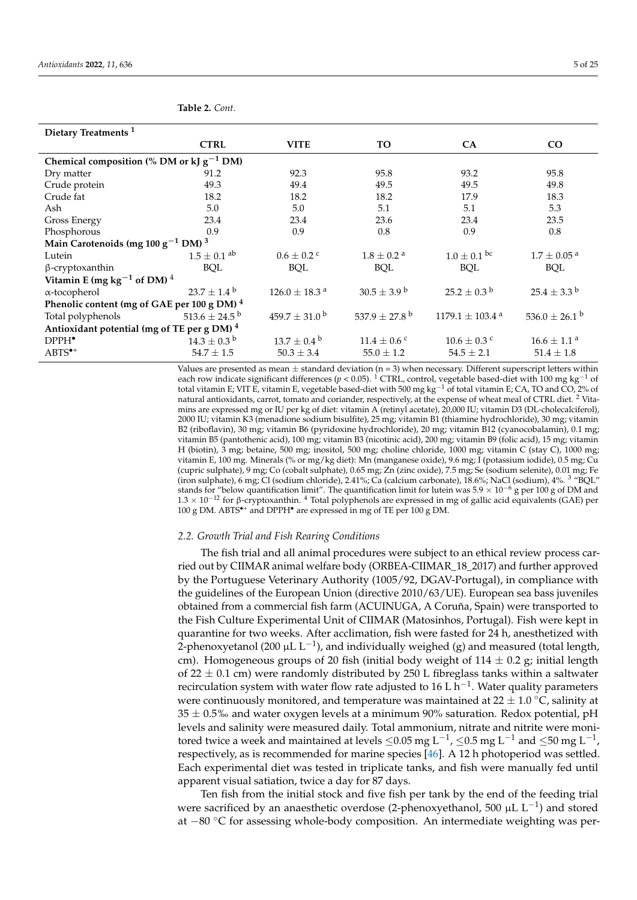| Dietary Treatments <sup>1</sup>                        |                               |                               |                               |                                 |                               |  |  |  |
|--------------------------------------------------------|-------------------------------|-------------------------------|-------------------------------|---------------------------------|-------------------------------|--|--|--|
|                                                        | <b>CTRL</b>                   | <b>VITE</b>                   | TO.                           | <b>CA</b>                       | $\rm CO$                      |  |  |  |
| Chemical composition (% DM or kJ $g^{-1}$ DM)          |                               |                               |                               |                                 |                               |  |  |  |
| Dry matter                                             | 91.2                          | 92.3                          | 95.8                          | 93.2                            | 95.8                          |  |  |  |
| Crude protein                                          | 49.3                          | 49.4                          | 49.5                          | 49.5                            | 49.8                          |  |  |  |
| Crude fat                                              | 18.2                          | 18.2                          | 18.2                          | 17.9                            | 18.3                          |  |  |  |
| Ash                                                    | 5.0                           | 5.0                           | 5.1                           | 5.1                             | 5.3                           |  |  |  |
| <b>Gross Energy</b>                                    | 23.4                          | 23.4                          | 23.6                          | 23.4                            | 23.5                          |  |  |  |
| Phosphorous                                            | 0.9                           | 0.9                           | 0.8                           | 0.9                             | 0.8                           |  |  |  |
| Main Carotenoids (mg $100 g^{-1}$ DM) <sup>3</sup>     |                               |                               |                               |                                 |                               |  |  |  |
| Lutein                                                 | $1.5\pm0.1$ $^{\rm ab}$       | $0.6 \pm 0.2$ c               | $1.8 \pm 0.2$ <sup>a</sup>    | $1.0 \pm 0.1$ bc                | $1.7 \pm 0.05$ <sup>a</sup>   |  |  |  |
| $\beta$ -cryptoxanthin                                 | <b>BQL</b>                    | <b>BQL</b>                    | <b>BQL</b>                    | BQL                             | <b>BQL</b>                    |  |  |  |
| Vitamin E (mg $kg^{-1}$ of DM) <sup>4</sup>            |                               |                               |                               |                                 |                               |  |  |  |
| α-tocopherol                                           | $23.7 \pm 1.4^{\circ}$        | $126.0$ $\pm$ 18.3 $^{\rm a}$ | $30.5 \pm 3.9^{\mathrm{b}}$   | $25.2 \pm 0.3^{\text{ b}}$      | $25.4 \pm 3.3$ b              |  |  |  |
| Phenolic content (mg of GAE per 100 g DM) <sup>4</sup> |                               |                               |                               |                                 |                               |  |  |  |
| Total polyphenols                                      | 513.6 $\pm$ 24.5 <sup>b</sup> | $459.7 \pm 31.0^{\mathrm{b}}$ | 537.9 $\pm$ 27.8 <sup>b</sup> | $1179.1 \pm 103.4$ <sup>a</sup> | 536.0 $\pm$ 26.1 <sup>b</sup> |  |  |  |
| Antioxidant potential (mg of TE per g DM) <sup>4</sup> |                               |                               |                               |                                 |                               |  |  |  |
| DPPH <sup>•</sup>                                      | $14.3 \pm 0.3^{\mathrm{b}}$   | $13.7 \pm 0.4^{\circ}$        | $11.4 \pm 0.6$ c              | $10.6 \pm 0.3$ c                | $16.6 \pm 1.1$ <sup>a</sup>   |  |  |  |
| $ABTS^{\bullet+}$                                      | $54.7 \pm 1.5$                | $50.3 \pm 3.4$                | $55.0 \pm 1.2$                | $54.5 \pm 2.1$                  | $51.4 \pm 1.8$                |  |  |  |

**Table 2.** *Cont.*

Values are presented as mean  $\pm$  standard deviation (n = 3) when necessary. Different superscript letters within each row indicate significant differences (*p* < 0.05). <sup>1</sup> CTRL, control, vegetable based-diet with 100 mg kg−<sup>1</sup> of total vitamin E; VIT E, vitamin E, vegetable based-diet with 500 mg kg $^{-1}$  of total vitamin E; CA, TO and CO, 2% of natural antioxidants, carrot, tomato and coriander, respectively, at the expense of wheat meal of CTRL diet. <sup>2</sup> Vitamins are expressed mg or IU per kg of diet: vitamin A (retinyl acetate), 20,000 IU; vitamin D3 (DL-cholecalciferol), 2000 IU; vitamin K3 (menadione sodium bisulfite), 25 mg; vitamin B1 (thiamine hydrochloride), 30 mg; vitamin B2 (riboflavin), 30 mg; vitamin B6 (pyridoxine hydrochloride), 20 mg; vitamin B12 (cyanocobalamin), 0.1 mg; vitamin B5 (pantothenic acid), 100 mg; vitamin B3 (nicotinic acid), 200 mg; vitamin B9 (folic acid), 15 mg; vitamin H (biotin), 3 mg; betaine, 500 mg; inositol, 500 mg; choline chloride, 1000 mg; vitamin C (stay C), 1000 mg; vitamin E, 100 mg. Minerals (% or mg/kg diet): Mn (manganese oxide), 9.6 mg; I (potassium iodide), 0.5 mg; Cu (cupric sulphate), 9 mg; Co (cobalt sulphate), 0.65 mg; Zn (zinc oxide), 7.5 mg; Se (sodium selenite), 0.01 mg; Fe (iron sulphate), 6 mg; Cl (sodium chloride), 2.41%; Ca (calcium carbonate), 18.6%; NaCl (sodium), 4%. <sup>3</sup> "BQL" stands for "below quantification limit". The quantification limit for lutein was  $5.9 \times 10^{-6}$  g per 100 g of DM and 1.3 × 10−<sup>12</sup> for β-cryptoxanthin. <sup>4</sup> Total polyphenols are expressed in mg of gallic acid equivalents (GAE) per 100 g DM. ABTS•<sup>+</sup> and DPPH• are expressed in mg of TE per 100 g DM.

#### *2.2. Growth Trial and Fish Rearing Conditions*

The fish trial and all animal procedures were subject to an ethical review process carried out by CIIMAR animal welfare body (ORBEA-CIIMAR\_18\_2017) and further approved by the Portuguese Veterinary Authority (1005/92, DGAV-Portugal), in compliance with the guidelines of the European Union (directive 2010/63/UE). European sea bass juveniles obtained from a commercial fish farm (ACUINUGA, A Coruña, Spain) were transported to the Fish Culture Experimental Unit of CIIMAR (Matosinhos, Portugal). Fish were kept in quarantine for two weeks. After acclimation, fish were fasted for 24 h, anesthetized with 2-phenoxyetanol (200 μL L<sup>-1</sup>), and individually weighed (g) and measured (total length, cm). Homogeneous groups of 20 fish (initial body weight of  $114 \pm 0.2$  g; initial length of 22  $\pm$  0.1 cm) were randomly distributed by 250 L fibreglass tanks within a saltwater recirculation system with water flow rate adjusted to 16 L  $\rm h^{-1}$ . Water quality parameters were continuously monitored, and temperature was maintained at  $22 \pm 1.0$  °C, salinity at  $35 \pm 0.5$ % and water oxygen levels at a minimum 90% saturation. Redox potential, pH levels and salinity were measured daily. Total ammonium, nitrate and nitrite were monitored twice a week and maintained at levels ≤0.05 mg L<sup>-1</sup>, ≤0.5 mg L<sup>-1</sup> and ≤50 mg L<sup>-1</sup>, respectively, as is recommended for marine species [\[46\]](#page-22-1). A 12 h photoperiod was settled. Each experimental diet was tested in triplicate tanks, and fish were manually fed until apparent visual satiation, twice a day for 87 days.

Ten fish from the initial stock and five fish per tank by the end of the feeding trial were sacrificed by an anaesthetic overdose (2-phenoxyethanol, 500  $\mu$ L L<sup>-1</sup>) and stored at −80 ◦C for assessing whole-body composition. An intermediate weighting was per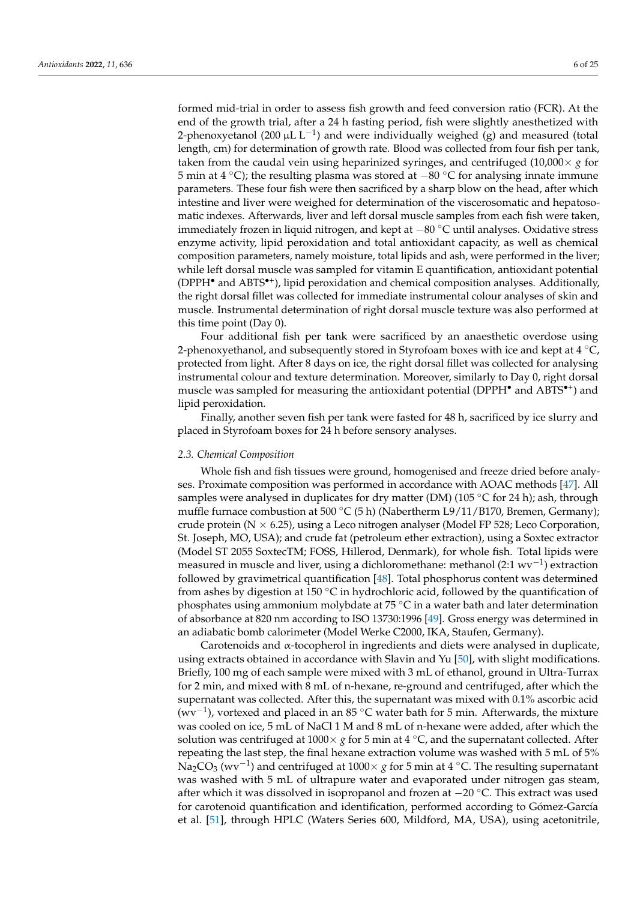formed mid-trial in order to assess fish growth and feed conversion ratio (FCR). At the end of the growth trial, after a 24 h fasting period, fish were slightly anesthetized with 2-phenoxyetanol (200 µL L<sup>-1</sup>) and were individually weighed (g) and measured (total length, cm) for determination of growth rate. Blood was collected from four fish per tank, taken from the caudal vein using heparinized syringes, and centrifuged  $(10,000 \times g$  for 5 min at 4 ◦C); the resulting plasma was stored at −80 ◦C for analysing innate immune parameters. These four fish were then sacrificed by a sharp blow on the head, after which intestine and liver were weighed for determination of the viscerosomatic and hepatosomatic indexes. Afterwards, liver and left dorsal muscle samples from each fish were taken, immediately frozen in liquid nitrogen, and kept at −80 ◦C until analyses. Oxidative stress enzyme activity, lipid peroxidation and total antioxidant capacity, as well as chemical composition parameters, namely moisture, total lipids and ash, were performed in the liver; while left dorsal muscle was sampled for vitamin E quantification, antioxidant potential (DPPH• and ABTS•<sup>+</sup> ), lipid peroxidation and chemical composition analyses. Additionally, the right dorsal fillet was collected for immediate instrumental colour analyses of skin and muscle. Instrumental determination of right dorsal muscle texture was also performed at this time point (Day 0).

Four additional fish per tank were sacrificed by an anaesthetic overdose using 2-phenoxyethanol, and subsequently stored in Styrofoam boxes with ice and kept at 4  $^{\circ}$ C, protected from light. After 8 days on ice, the right dorsal fillet was collected for analysing instrumental colour and texture determination. Moreover, similarly to Day 0, right dorsal muscle was sampled for measuring the antioxidant potential (DPPH<sup>•</sup> and ABTS<sup>•+</sup>) and lipid peroxidation.

Finally, another seven fish per tank were fasted for 48 h, sacrificed by ice slurry and placed in Styrofoam boxes for 24 h before sensory analyses.

#### *2.3. Chemical Composition*

Whole fish and fish tissues were ground, homogenised and freeze dried before analyses. Proximate composition was performed in accordance with AOAC methods [\[47\]](#page-22-2). All samples were analysed in duplicates for dry matter (DM) (105 °C for 24 h); ash, through muffle furnace combustion at 500 °C (5 h) (Nabertherm L9/11/B170, Bremen, Germany); crude protein ( $N \times 6.25$ ), using a Leco nitrogen analyser (Model FP 528; Leco Corporation, St. Joseph, MO, USA); and crude fat (petroleum ether extraction), using a Soxtec extractor (Model ST 2055 SoxtecTM; FOSS, Hillerod, Denmark), for whole fish. Total lipids were measured in muscle and liver, using a dichloromethane: methanol (2:1  $\text{wv}^{-1}$ ) extraction followed by gravimetrical quantification [\[48\]](#page-22-3). Total phosphorus content was determined from ashes by digestion at 150 °C in hydrochloric acid, followed by the quantification of phosphates using ammonium molybdate at 75 ◦C in a water bath and later determination of absorbance at 820 nm according to ISO 13730:1996 [\[49\]](#page-22-4). Gross energy was determined in an adiabatic bomb calorimeter (Model Werke C2000, IKA, Staufen, Germany).

Carotenoids and α-tocopherol in ingredients and diets were analysed in duplicate, using extracts obtained in accordance with Slavin and Yu [\[50\]](#page-22-5), with slight modifications. Briefly, 100 mg of each sample were mixed with 3 mL of ethanol, ground in Ultra-Turrax for 2 min, and mixed with 8 mL of n-hexane, re-ground and centrifuged, after which the supernatant was collected. After this, the supernatant was mixed with 0.1% ascorbic acid (wv−<sup>1</sup> ), vortexed and placed in an 85 ◦C water bath for 5 min. Afterwards, the mixture was cooled on ice, 5 mL of NaCl 1 M and 8 mL of n-hexane were added, after which the solution was centrifuged at  $1000 \times g$  for 5 min at 4  $\degree$ C, and the supernatant collected. After repeating the last step, the final hexane extraction volume was washed with 5 mL of 5% Na<sub>2</sub>CO<sub>3</sub> (wv<sup>-1</sup>) and centrifuged at 1000× *g* for 5 min at 4 °C. The resulting supernatant was washed with 5 mL of ultrapure water and evaporated under nitrogen gas steam, after which it was dissolved in isopropanol and frozen at −20 ◦C. This extract was used for carotenoid quantification and identification, performed according to Gómez-García et al. [\[51\]](#page-22-6), through HPLC (Waters Series 600, Mildford, MA, USA), using acetonitrile,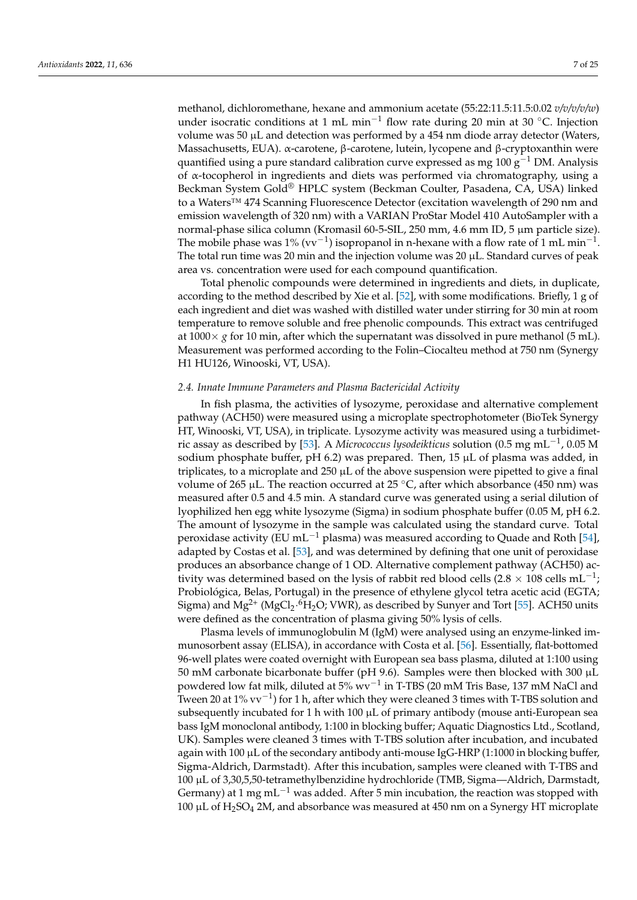methanol, dichloromethane, hexane and ammonium acetate (55:22:11.5:11.5:0.02 *v/v/v/v/w*) under isocratic conditions at 1 mL min<sup>-1</sup> flow rate during 20 min at 30 °C. Injection volume was 50 µL and detection was performed by a 454 nm diode array detector (Waters, Massachusetts, EUA). α-carotene, β-carotene, lutein, lycopene and β-cryptoxanthin were quantified using a pure standard calibration curve expressed as mg 100 g<sup>-1</sup> DM. Analysis of α-tocopherol in ingredients and diets was performed via chromatography, using a Beckman System Gold® HPLC system (Beckman Coulter, Pasadena, CA, USA) linked to a Waters™ 474 Scanning Fluorescence Detector (excitation wavelength of 290 nm and emission wavelength of 320 nm) with a VARIAN ProStar Model 410 AutoSampler with a normal-phase silica column (Kromasil 60-5-SIL, 250 mm, 4.6 mm ID, 5 µm particle size). The mobile phase was 1% (vv<sup>-1</sup>) isopropanol in n-hexane with a flow rate of 1 mL min<sup>-1</sup>. The total run time was 20 min and the injection volume was 20 µL. Standard curves of peak area vs. concentration were used for each compound quantification.

Total phenolic compounds were determined in ingredients and diets, in duplicate, according to the method described by Xie et al. [\[52\]](#page-22-7), with some modifications. Briefly, 1 g of each ingredient and diet was washed with distilled water under stirring for 30 min at room temperature to remove soluble and free phenolic compounds. This extract was centrifuged at  $1000\times g$  for 10 min, after which the supernatant was dissolved in pure methanol (5 mL). Measurement was performed according to the Folin–Ciocalteu method at 750 nm (Synergy H1 HU126, Winooski, VT, USA).

#### *2.4. Innate Immune Parameters and Plasma Bactericidal Activity*

In fish plasma, the activities of lysozyme, peroxidase and alternative complement pathway (ACH50) were measured using a microplate spectrophotometer (BioTek Synergy HT, Winooski, VT, USA), in triplicate. Lysozyme activity was measured using a turbidimetric assay as described by [\[53\]](#page-22-8). A *Micrococcus lysodeikticus* solution (0.5 mg mL−<sup>1</sup> , 0.05 M sodium phosphate buffer, pH 6.2) was prepared. Then, 15  $\mu$ L of plasma was added, in triplicates, to a microplate and  $250 \mu L$  of the above suspension were pipetted to give a final volume of 265 µL. The reaction occurred at 25  $\degree$ C, after which absorbance (450 nm) was measured after 0.5 and 4.5 min. A standard curve was generated using a serial dilution of lyophilized hen egg white lysozyme (Sigma) in sodium phosphate buffer (0.05 M, pH 6.2. The amount of lysozyme in the sample was calculated using the standard curve. Total peroxidase activity (EU mL<sup>-1</sup> plasma) was measured according to Quade and Roth [\[54\]](#page-22-9), adapted by Costas et al. [\[53\]](#page-22-8), and was determined by defining that one unit of peroxidase produces an absorbance change of 1 OD. Alternative complement pathway (ACH50) activity was determined based on the lysis of rabbit red blood cells (2.8  $\times$  108 cells mL<sup>-1</sup>; Probiológica, Belas, Portugal) in the presence of ethylene glycol tetra acetic acid (EGTA; Sigma) and  $\rm Mg^{2+}$  (MgCl2·<sup>6</sup>H2O; VWR), as described by Sunyer and Tort [\[55\]](#page-22-10). ACH50 units were defined as the concentration of plasma giving 50% lysis of cells.

Plasma levels of immunoglobulin M (IgM) were analysed using an enzyme-linked immunosorbent assay (ELISA), in accordance with Costa et al. [\[56\]](#page-22-11). Essentially, flat-bottomed 96-well plates were coated overnight with European sea bass plasma, diluted at 1:100 using 50 mM carbonate bicarbonate buffer (pH 9.6). Samples were then blocked with 300 µL powdered low fat milk, diluted at 5% wv<sup>−1</sup> in T-TBS (20 mM Tris Base, 137 mM NaCl and Tween 20 at 1% vv<sup>-1</sup>) for 1 h, after which they were cleaned 3 times with T-TBS solution and subsequently incubated for 1 h with 100 µL of primary antibody (mouse anti-European sea bass IgM monoclonal antibody, 1:100 in blocking buffer; Aquatic Diagnostics Ltd., Scotland, UK). Samples were cleaned 3 times with T-TBS solution after incubation, and incubated again with 100 µL of the secondary antibody anti-mouse IgG-HRP (1:1000 in blocking buffer, Sigma-Aldrich, Darmstadt). After this incubation, samples were cleaned with T-TBS and 100 µL of 3,30,5,50-tetramethylbenzidine hydrochloride (TMB, Sigma—Aldrich, Darmstadt, Germany) at 1 mg mL<sup>-1</sup> was added. After 5 min incubation, the reaction was stopped with 100  $\mu$ L of H<sub>2</sub>SO<sub>4</sub> 2M, and absorbance was measured at 450 nm on a Synergy HT microplate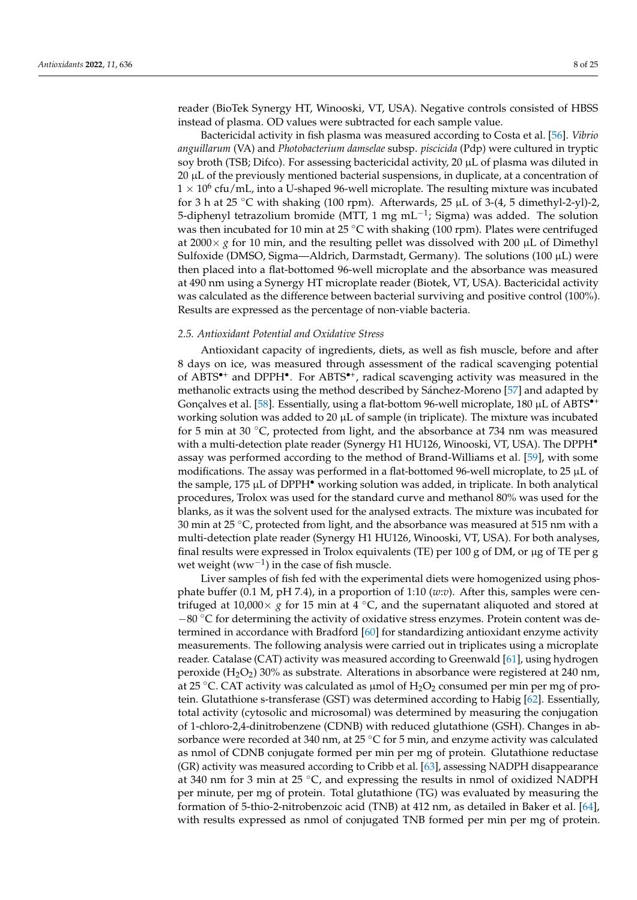reader (BioTek Synergy HT, Winooski, VT, USA). Negative controls consisted of HBSS instead of plasma. OD values were subtracted for each sample value.

Bactericidal activity in fish plasma was measured according to Costa et al. [\[56\]](#page-22-11). *Vibrio anguillarum* (VA) and *Photobacterium damselae* subsp. *piscicida* (Pdp) were cultured in tryptic soy broth (TSB; Difco). For assessing bactericidal activity, 20  $\mu$ L of plasma was diluted in 20 µL of the previously mentioned bacterial suspensions, in duplicate, at a concentration of  $1 \times 10^6$  cfu/mL, into a U-shaped 96-well microplate. The resulting mixture was incubated for 3 h at 25 °C with shaking (100 rpm). Afterwards, 25  $\mu$ L of 3-(4, 5 dimethyl-2-yl)-2, 5-diphenyl tetrazolium bromide (MTT, 1 mg mL<sup>-1</sup>; Sigma) was added. The solution was then incubated for 10 min at 25  $\degree$ C with shaking (100 rpm). Plates were centrifuged at 2000 $\times$  *g* for 10 min, and the resulting pellet was dissolved with 200  $\mu$ L of Dimethyl Sulfoxide (DMSO, Sigma—Aldrich, Darmstadt, Germany). The solutions (100  $\mu$ L) were then placed into a flat-bottomed 96-well microplate and the absorbance was measured at 490 nm using a Synergy HT microplate reader (Biotek, VT, USA). Bactericidal activity was calculated as the difference between bacterial surviving and positive control (100%). Results are expressed as the percentage of non-viable bacteria.

#### *2.5. Antioxidant Potential and Oxidative Stress*

Antioxidant capacity of ingredients, diets, as well as fish muscle, before and after 8 days on ice, was measured through assessment of the radical scavenging potential of ABTS<sup>\*+</sup> and DPPH<sup>\*</sup>. For ABTS<sup>\*+</sup>, radical scavenging activity was measured in the methanolic extracts using the method described by Sánchez-Moreno [\[57\]](#page-22-12) and adapted by Gonçalves et al. [\[58\]](#page-22-13). Essentially, using a flat-bottom 96-well microplate, 180  $\mu$ L of ABTS<sup>\*</sup><sup>+</sup> working solution was added to 20  $\mu$ L of sample (in triplicate). The mixture was incubated for 5 min at 30 ◦C, protected from light, and the absorbance at 734 nm was measured with a multi-detection plate reader (Synergy H1 HU126, Winooski, VT, USA). The DPPH<sup>•</sup> assay was performed according to the method of Brand-Williams et al. [\[59\]](#page-22-14), with some modifications. The assay was performed in a flat-bottomed 96-well microplate, to 25 µL of the sample, 175 µL of DPPH• working solution was added, in triplicate. In both analytical procedures, Trolox was used for the standard curve and methanol 80% was used for the blanks, as it was the solvent used for the analysed extracts. The mixture was incubated for 30 min at 25  $\degree$ C, protected from light, and the absorbance was measured at 515 nm with a multi-detection plate reader (Synergy H1 HU126, Winooski, VT, USA). For both analyses, final results were expressed in Trolox equivalents (TE) per 100 g of DM, or µg of TE per g wet weight  $(ww^{-1})$  in the case of fish muscle.

Liver samples of fish fed with the experimental diets were homogenized using phosphate buffer (0.1 M, pH 7.4), in a proportion of 1:10 (*w*:*v*). After this, samples were centrifuged at 10,000 $\times$  *g* for 15 min at 4 °C, and the supernatant aliquoted and stored at  $-80$  °C for determining the activity of oxidative stress enzymes. Protein content was determined in accordance with Bradford [\[60\]](#page-22-15) for standardizing antioxidant enzyme activity measurements. The following analysis were carried out in triplicates using a microplate reader. Catalase (CAT) activity was measured according to Greenwald [\[61\]](#page-22-16), using hydrogen peroxide (H<sub>2</sub>O<sub>2</sub>) 30% as substrate. Alterations in absorbance were registered at 240 nm, at 25 °C. CAT activity was calculated as  $\mu$ mol of H<sub>2</sub>O<sub>2</sub> consumed per min per mg of protein. Glutathione s-transferase (GST) was determined according to Habig [\[62\]](#page-22-17). Essentially, total activity (cytosolic and microsomal) was determined by measuring the conjugation of 1-chloro-2,4-dinitrobenzene (CDNB) with reduced glutathione (GSH). Changes in absorbance were recorded at 340 nm, at 25  $\degree$ C for 5 min, and enzyme activity was calculated as nmol of CDNB conjugate formed per min per mg of protein. Glutathione reductase (GR) activity was measured according to Cribb et al. [\[63\]](#page-22-18), assessing NADPH disappearance at 340 nm for 3 min at 25 ◦C, and expressing the results in nmol of oxidized NADPH per minute, per mg of protein. Total glutathione (TG) was evaluated by measuring the formation of 5-thio-2-nitrobenzoic acid (TNB) at 412 nm, as detailed in Baker et al. [\[64\]](#page-22-19), with results expressed as nmol of conjugated TNB formed per min per mg of protein.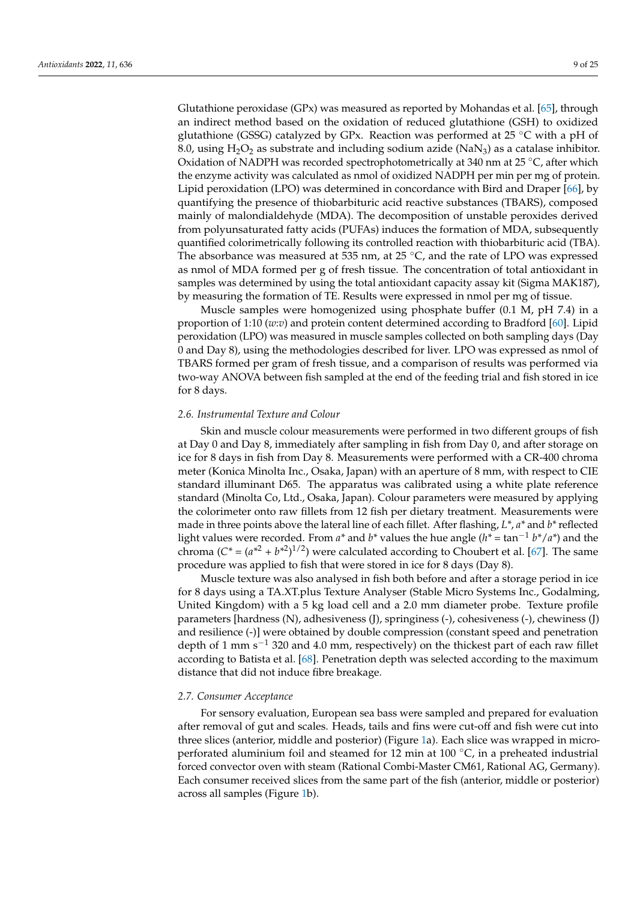Glutathione peroxidase (GPx) was measured as reported by Mohandas et al. [\[65\]](#page-22-20), through an indirect method based on the oxidation of reduced glutathione (GSH) to oxidized glutathione (GSSG) catalyzed by GPx. Reaction was performed at 25 ◦C with a pH of 8.0, using  $H_2O_2$  as substrate and including sodium azide (NaN<sub>3</sub>) as a catalase inhibitor. Oxidation of NADPH was recorded spectrophotometrically at 340 nm at 25  $^{\circ}$ C, after which the enzyme activity was calculated as nmol of oxidized NADPH per min per mg of protein. Lipid peroxidation (LPO) was determined in concordance with Bird and Draper [\[66\]](#page-22-21), by quantifying the presence of thiobarbituric acid reactive substances (TBARS), composed mainly of malondialdehyde (MDA). The decomposition of unstable peroxides derived from polyunsaturated fatty acids (PUFAs) induces the formation of MDA, subsequently quantified colorimetrically following its controlled reaction with thiobarbituric acid (TBA). The absorbance was measured at 535 nm, at 25 ◦C, and the rate of LPO was expressed as nmol of MDA formed per g of fresh tissue. The concentration of total antioxidant in samples was determined by using the total antioxidant capacity assay kit (Sigma MAK187), by measuring the formation of TE. Results were expressed in nmol per mg of tissue.

Muscle samples were homogenized using phosphate buffer (0.1 M, pH 7.4) in a proportion of 1:10 (*w*:*v*) and protein content determined according to Bradford [\[60\]](#page-22-15). Lipid peroxidation (LPO) was measured in muscle samples collected on both sampling days (Day 0 and Day 8), using the methodologies described for liver. LPO was expressed as nmol of TBARS formed per gram of fresh tissue, and a comparison of results was performed via two-way ANOVA between fish sampled at the end of the feeding trial and fish stored in ice for 8 days.

#### *2.6. Instrumental Texture and Colour*

Skin and muscle colour measurements were performed in two different groups of fish at Day 0 and Day 8, immediately after sampling in fish from Day 0, and after storage on ice for 8 days in fish from Day 8. Measurements were performed with a CR-400 chroma meter (Konica Minolta Inc., Osaka, Japan) with an aperture of 8 mm, with respect to CIE standard illuminant D65. The apparatus was calibrated using a white plate reference standard (Minolta Co, Ltd., Osaka, Japan). Colour parameters were measured by applying the colorimeter onto raw fillets from 12 fish per dietary treatment. Measurements were made in three points above the lateral line of each fillet. After flashing, *L\**, *a\** and *b\** reflected light values were recorded. From *a\** and *b\** values the hue angle (*h\* =* tan−<sup>1</sup> *b\**/*a\**) and the chroma  $(C^* = (a^{*2} + b^{*2})^{1/2})$  were calculated according to Choubert et al. [\[67\]](#page-22-22). The same procedure was applied to fish that were stored in ice for 8 days (Day 8).

Muscle texture was also analysed in fish both before and after a storage period in ice for 8 days using a TA.XT.plus Texture Analyser (Stable Micro Systems Inc., Godalming, United Kingdom) with a 5 kg load cell and a 2.0 mm diameter probe. Texture profile parameters [hardness (N), adhesiveness (J), springiness (-), cohesiveness (-), chewiness (J) and resilience (-)] were obtained by double compression (constant speed and penetration depth of 1 mm  $s^{-1}$  320 and 4.0 mm, respectively) on the thickest part of each raw fillet according to Batista et al. [\[68\]](#page-22-23). Penetration depth was selected according to the maximum distance that did not induce fibre breakage.

#### *2.7. Consumer Acceptance*

For sensory evaluation, European sea bass were sampled and prepared for evaluation after removal of gut and scales. Heads, tails and fins were cut-off and fish were cut into three slices (anterior, middle and posterior) (Figure [1a](#page-9-0)). Each slice was wrapped in microperforated aluminium foil and steamed for 12 min at 100 ℃, in a preheated industrial forced convector oven with steam (Rational Combi-Master CM61, Rational AG, Germany). Each consumer received slices from the same part of the fish (anterior, middle or posterior) across all samples (Figure [1b](#page-9-0)).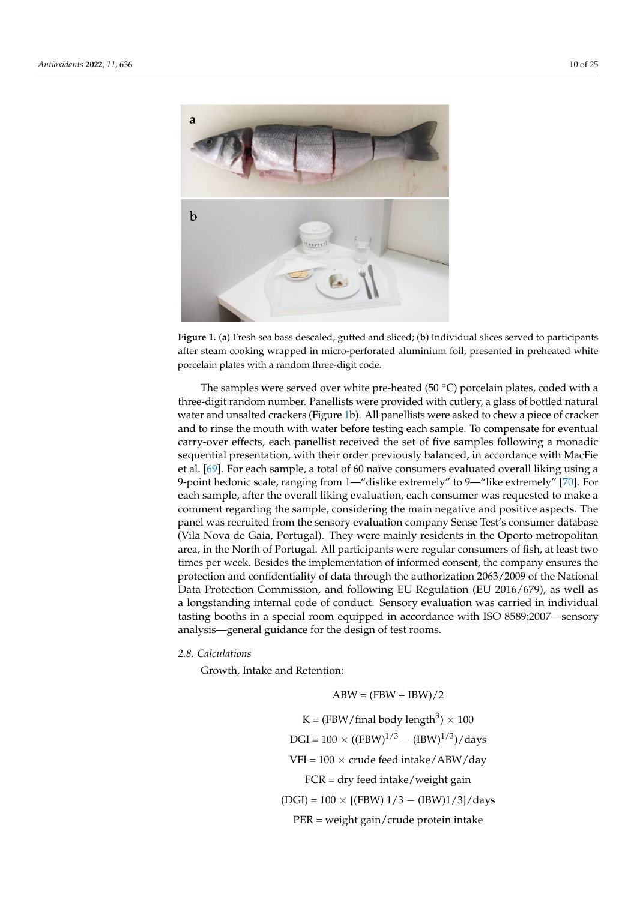<span id="page-9-0"></span>

Figure 1. (a) Fresh sea bass descaled, gutted and sliced; (b) Individual slices served to participants after steam cooking wrapped in micro‐perforated aluminium foil, presented in preheated white after steam cooking wrapped in micro-perforated aluminium foil, presented in preheated white porcelain plates with a random three‐digit code. porcelain plates with a random three-digit code.

The samples were served over white pre-heated (50 °C) porcelain plates, coded with a a three‐digit random number. Panellists were provided with cutlery, a glass of bottled three-digit random number. Panellists were provided with cutlery, a glass of bottled natural water and unsalted crackers (Figure [1b](#page-9-0)). All panellists were asked to chew a piece of cracker and to rinse the mouth with water before testing each sample. To compensate for eventual carry-over effects, each panellist received the set of five samples following a monadic sequential presentation, with their order previously balanced, in accordance with MacFie et al. [\[69\]](#page-22-24). For each sample, a total of 60 naïve consumers evaluated overall liking using a 9-point hedonic scale, ranging from 1—"dislike extremely" to 9—"like extremely" [\[70\]](#page-22-25). For each sample, after the overall liking evaluation, each consumer was requested to make a comment regarding the sample, considering the main negative and positive aspects. The panel was recruited from the sensory evaluation company Sense Test's consumer database (Vila Nova de Gaia, Portugal). They were mainly residents in the Oporto metropolitan area, in the North of Portugal. All participants were regular consumers of fish, at least two times per week. Besides the implementation of informed consent, the company ensures the protection and confidentiality of data through the authorization 2063/2009 of the National Data Protection Commission, and following EU Regulation (EU 2016/679), as well as a longstanding internal code of conduct. Sensory evaluation was carried in individual tasting booths in a special room equipped in accordance with ISO 8589:2007—sensory analysis—general guidance for the design of test rooms.

# *2.8. Calculations 2.8. Calculations*

Growth, Intake and Retention: Growth, Intake and Retention:

 $ABW = (FBW + IBW)/2$ K = (FBW/final body length $^3)\times 100$  $DGI = 100 \times ((FBW)^{1/3} - (IBW)^{1/3})$ /days FCR = dry feed intake/weight gain  $VFI = 100 \times crude feed intake/ABW/day$ FCR = dry feed intake/weight gain  $P(T) = 100 \pm \text{[CDIM} + 1.0$   $P(T) = (T)$   $P(T) = 100$  $(DGI) = 100 \times [(FBW) 1/3 - (IBW)1/3]/days$ PER = weight gain/crude protein intake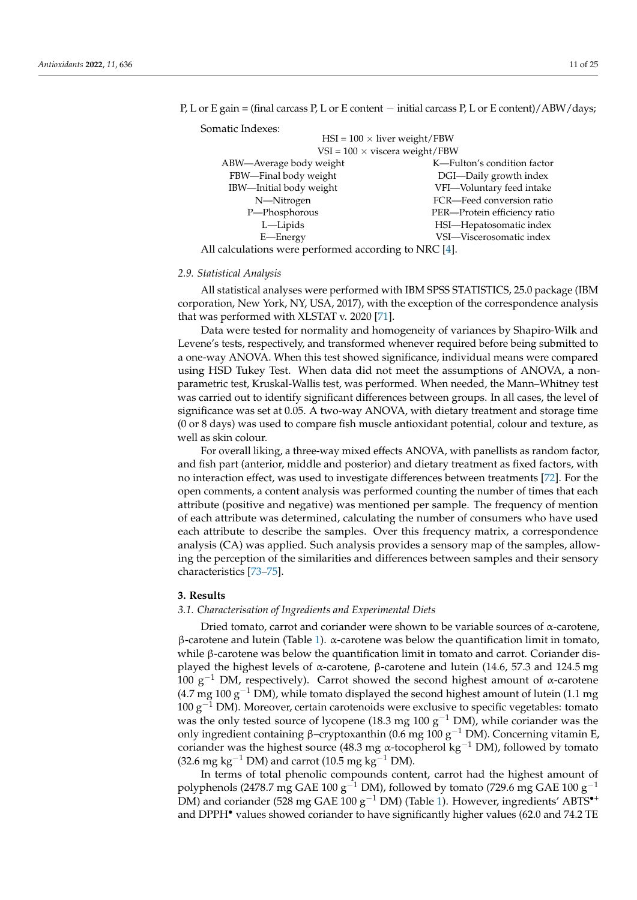| Somatic Indexes:                                                                                                         |                              |  |  |  |  |
|--------------------------------------------------------------------------------------------------------------------------|------------------------------|--|--|--|--|
| $HSI = 100 \times$ liver weight/FBW                                                                                      |                              |  |  |  |  |
| $VSI = 100 \times viscera weight/FBW$                                                                                    |                              |  |  |  |  |
| ABW—Average body weight                                                                                                  | K-Fulton's condition factor  |  |  |  |  |
| FBW-Final body weight                                                                                                    | DGI-Daily growth index       |  |  |  |  |
| IBW-Initial body weight                                                                                                  | VFI-Voluntary feed intake    |  |  |  |  |
| N-Nitrogen                                                                                                               | FCR-Feed conversion ratio    |  |  |  |  |
| P-Phosphorous                                                                                                            | PER-Protein efficiency ratio |  |  |  |  |
| L—Lipids                                                                                                                 | HSI-Hepatosomatic index      |  |  |  |  |
| E—Energy                                                                                                                 | VSI-Viscerosomatic index     |  |  |  |  |
| <b>All</b> $-1$ , $1 \cdot t$ , $\ldots$ , $\ldots$ , $\ldots$ $\ldots$ , $1 \cdot \ldots \cdot 1$ , $\ldots$ , $\ldots$ |                              |  |  |  |  |

P, L or E gain = (final carcass P, L or E content − initial carcass P, L or E content)/ABW/days;

All calculations were performed according to NRC [\[4\]](#page-20-3).

#### *2.9. Statistical Analysis*

All statistical analyses were performed with IBM SPSS STATISTICS, 25.0 package (IBM corporation, New York, NY, USA, 2017), with the exception of the correspondence analysis that was performed with XLSTAT v. 2020 [\[71\]](#page-22-26).

Data were tested for normality and homogeneity of variances by Shapiro-Wilk and Levene's tests, respectively, and transformed whenever required before being submitted to a one-way ANOVA. When this test showed significance, individual means were compared using HSD Tukey Test. When data did not meet the assumptions of ANOVA, a nonparametric test, Kruskal-Wallis test, was performed. When needed, the Mann–Whitney test was carried out to identify significant differences between groups. In all cases, the level of significance was set at 0.05. A two-way ANOVA, with dietary treatment and storage time (0 or 8 days) was used to compare fish muscle antioxidant potential, colour and texture, as well as skin colour.

For overall liking, a three-way mixed effects ANOVA, with panellists as random factor, and fish part (anterior, middle and posterior) and dietary treatment as fixed factors, with no interaction effect, was used to investigate differences between treatments [\[72\]](#page-23-0). For the open comments, a content analysis was performed counting the number of times that each attribute (positive and negative) was mentioned per sample. The frequency of mention of each attribute was determined, calculating the number of consumers who have used each attribute to describe the samples. Over this frequency matrix, a correspondence analysis (CA) was applied. Such analysis provides a sensory map of the samples, allowing the perception of the similarities and differences between samples and their sensory characteristics [\[73–](#page-23-1)[75\]](#page-23-2).

#### **3. Results**

#### *3.1. Characterisation of Ingredients and Experimental Diets*

Dried tomato, carrot and coriander were shown to be variable sources of  $\alpha$ -carotene, β-carotene and lutein (Table [1\)](#page-3-0). α-carotene was below the quantification limit in tomato, while β-carotene was below the quantification limit in tomato and carrot. Coriander displayed the highest levels of α-carotene, β-carotene and lutein (14.6, 57.3 and 124.5 mg 100  $\rm g^{-1}$  DM, respectively). Carrot showed the second highest amount of α-carotene  $(4.7 \text{ mg } 100 \text{ g}^{-1} \text{ DM})$ , while tomato displayed the second highest amount of lutein (1.1 mg)  $100 \text{ g}^{-1}$  DM). Moreover, certain carotenoids were exclusive to specific vegetables: tomato was the only tested source of lycopene (18.3 mg 100  $g^{-1}$  DM), while coriander was the only ingredient containing β–cryptoxanthin (0.6 mg 100 g<sup>-1</sup> DM). Concerning vitamin E, coriander was the highest source (48.3 mg α-tocopherol kg−<sup>1</sup> DM), followed by tomato (32.6 mg kg<sup>-1</sup> DM) and carrot (10.5 mg kg<sup>-1</sup> DM).

In terms of total phenolic compounds content, carrot had the highest amount of polyphenols (2478.7 mg GAE 100 g<sup>-1</sup> DM), followed by tomato (729.6 mg GAE 100 g<sup>-1</sup> DM) and coriander (528 mg GAE 100 g<sup>-1</sup> DM) (Table [1\)](#page-3-0). However, ingredients' ABTS<sup>•+</sup> and DPPH• values showed coriander to have significantly higher values (62.0 and 74.2 TE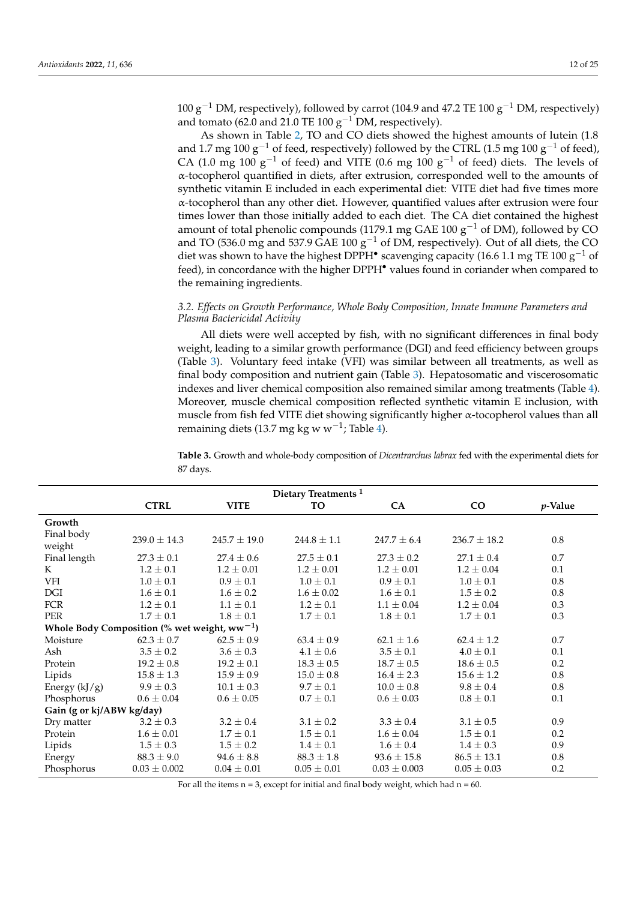100  $\rm g^{-1}$  DM, respectively), followed by carrot (104.9 and 47.2 TE 100  $\rm g^{-1}$  DM, respectively) and tomato (62.0 and 21.0 TE 100  $g^{-1}$  DM, respectively).

As shown in Table [2,](#page-3-1) TO and CO diets showed the highest amounts of lutein (1.8 and 1.7 mg 100  $g^{-1}$  of feed, respectively) followed by the CTRL (1.5 mg 100  $g^{-1}$  of feed), CA (1.0 mg 100 g<sup>-1</sup> of feed) and VITE (0.6 mg 100 g<sup>-1</sup> of feed) diets. The levels of α-tocopherol quantified in diets, after extrusion, corresponded well to the amounts of synthetic vitamin E included in each experimental diet: VITE diet had five times more α-tocopherol than any other diet. However, quantified values after extrusion were four times lower than those initially added to each diet. The CA diet contained the highest amount of total phenolic compounds (1179.1 mg GAE 100  $g^{-1}$  of DM), followed by CO and TO (536.0 mg and 537.9 GAE 100  $g^{-1}$  of DM, respectively). Out of all diets, the CO diet was shown to have the highest DPPH<sup>•</sup> scavenging capacity (16.6 1.1 mg TE 100 g<sup>-1</sup> of feed), in concordance with the higher DPPH<sup>•</sup> values found in coriander when compared to the remaining ingredients.

### *3.2. Effects on Growth Performance, Whole Body Composition, Innate Immune Parameters and Plasma Bactericidal Activity*

All diets were well accepted by fish, with no significant differences in final body weight, leading to a similar growth performance (DGI) and feed efficiency between groups (Table [3\)](#page-11-0). Voluntary feed intake (VFI) was similar between all treatments, as well as final body composition and nutrient gain (Table [3\)](#page-11-0). Hepatosomatic and viscerosomatic indexes and liver chemical composition also remained similar among treatments (Table [4\)](#page-12-0). Moreover, muscle chemical composition reflected synthetic vitamin E inclusion, with muscle from fish fed VITE diet showing significantly higher α-tocopherol values than all remaining diets (13.7 mg kg w w<sup>-1</sup>; Table [4\)](#page-12-0).

|                                                   | Dietary Treatments <sup>1</sup> |                  |                 |                  |                  |            |  |  |  |
|---------------------------------------------------|---------------------------------|------------------|-----------------|------------------|------------------|------------|--|--|--|
|                                                   | <b>CTRL</b>                     | <b>VITE</b>      | <b>TO</b>       | CA               | $\rm CO$         | $p$ -Value |  |  |  |
| Growth                                            |                                 |                  |                 |                  |                  |            |  |  |  |
| Final body<br>weight                              | $239.0 \pm 14.3$                | $245.7 \pm 19.0$ | $244.8 \pm 1.1$ | $247.7 \pm 6.4$  | $236.7 \pm 18.2$ | 0.8        |  |  |  |
| Final length                                      | $27.3 \pm 0.1$                  | $27.4 \pm 0.6$   | $27.5 \pm 0.1$  | $27.3 \pm 0.2$   | $27.1 \pm 0.4$   | 0.7        |  |  |  |
| K                                                 | $1.2 \pm 0.1$                   | $1.2 \pm 0.01$   | $1.2 \pm 0.01$  | $1.2 \pm 0.01$   | $1.2 \pm 0.04$   | 0.1        |  |  |  |
| VFI                                               | $1.0 \pm 0.1$                   | $0.9 \pm 0.1$    | $1.0 \pm 0.1$   | $0.9 \pm 0.1$    | $1.0 \pm 0.1$    | 0.8        |  |  |  |
| DGI                                               | $1.6 \pm 0.1$                   | $1.6 \pm 0.2$    | $1.6 \pm 0.02$  | $1.6 \pm 0.1$    | $1.5 \pm 0.2$    | 0.8        |  |  |  |
| FCR                                               | $1.2 \pm 0.1$                   | $1.1 \pm 0.1$    | $1.2 \pm 0.1$   | $1.1 \pm 0.04$   | $1.2 \pm 0.04$   | 0.3        |  |  |  |
| <b>PER</b>                                        | $1.7 \pm 0.1$                   | $1.8 \pm 0.1$    | $1.7 \pm 0.1$   | $1.8 \pm 0.1$    | $1.7 \pm 0.1$    | 0.3        |  |  |  |
| Whole Body Composition (% wet weight, $ww^{-1}$ ) |                                 |                  |                 |                  |                  |            |  |  |  |
| Moisture                                          | $62.3 \pm 0.7$                  | $62.5 \pm 0.9$   | $63.4 \pm 0.9$  | $62.1 \pm 1.6$   | $62.4 \pm 1.2$   | 0.7        |  |  |  |
| Ash                                               | $3.5 \pm 0.2$                   | $3.6 \pm 0.3$    | $4.1 \pm 0.6$   | $3.5 \pm 0.1$    | $4.0 \pm 0.1$    | 0.1        |  |  |  |
| Protein                                           | $19.2 \pm 0.8$                  | $19.2 \pm 0.1$   | $18.3 \pm 0.5$  | $18.7 \pm 0.5$   | $18.6 \pm 0.5$   | 0.2        |  |  |  |
| Lipids                                            | $15.8 \pm 1.3$                  | $15.9 \pm 0.9$   | $15.0 \pm 0.8$  | $16.4 \pm 2.3$   | $15.6 \pm 1.2$   | 0.8        |  |  |  |
| Energy $(kJ/g)$                                   | $9.9 \pm 0.3$                   | $10.1 \pm 0.3$   | $9.7 \pm 0.1$   | $10.0 \pm 0.8$   | $9.8 \pm 0.4$    | 0.8        |  |  |  |
| Phosphorus                                        | $0.6 \pm 0.04$                  | $0.6 \pm 0.05$   | $0.7\pm0.1$     | $0.6 \pm 0.03$   | $0.8 \pm 0.1$    | 0.1        |  |  |  |
| Gain (g or kj/ABW kg/day)                         |                                 |                  |                 |                  |                  |            |  |  |  |
| Dry matter                                        | $3.2 \pm 0.3$                   | $3.2 \pm 0.4$    | $3.1 \pm 0.2$   | $3.3 \pm 0.4$    | $3.1 \pm 0.5$    | 0.9        |  |  |  |
| Protein                                           | $1.6 \pm 0.01$                  | $1.7 \pm 0.1$    | $1.5 \pm 0.1$   | $1.6 \pm 0.04$   | $1.5 \pm 0.1$    | 0.2        |  |  |  |
| Lipids                                            | $1.5 \pm 0.3$                   | $1.5 \pm 0.2$    | $1.4 \pm 0.1$   | $1.6 \pm 0.4$    | $1.4 \pm 0.3$    | 0.9        |  |  |  |
| Energy                                            | $88.3 \pm 9.0$                  | $94.6 \pm 8.8$   | $88.3 \pm 1.8$  | $93.6 \pm 15.8$  | $86.5 \pm 13.1$  | 0.8        |  |  |  |
| Phosphorus                                        | $0.03 \pm 0.002$                | $0.04 \pm 0.01$  | $0.05 \pm 0.01$ | $0.03 \pm 0.003$ | $0.05 \pm 0.03$  | 0.2        |  |  |  |

<span id="page-11-0"></span>**Table 3.** Growth and whole-body composition of *Dicentrarchus labrax* fed with the experimental diets for 87 days.

For all the items  $n = 3$ , except for initial and final body weight, which had  $n = 60$ .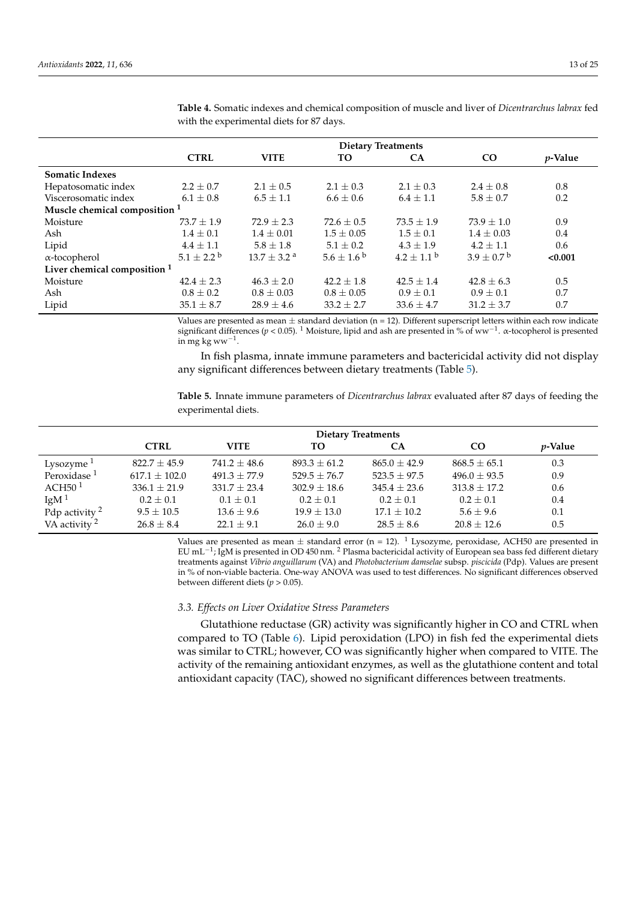|                                         | <b>Dietary Treatments</b> |                             |                       |                       |                            |            |  |  |
|-----------------------------------------|---------------------------|-----------------------------|-----------------------|-----------------------|----------------------------|------------|--|--|
|                                         | <b>CTRL</b>               | <b>VITE</b>                 | TO.                   | <b>CA</b>             | $_{\rm CO}$                | $p$ -Value |  |  |
| <b>Somatic Indexes</b>                  |                           |                             |                       |                       |                            |            |  |  |
| Hepatosomatic index                     | $2.2 \pm 0.7$             | $2.1 \pm 0.5$               | $2.1 \pm 0.3$         | $2.1 \pm 0.3$         | $2.4\pm0.8$                | 0.8        |  |  |
| Viscerosomatic index                    | $6.1 \pm 0.8$             | $6.5 \pm 1.1$               | $6.6 \pm 0.6$         | $6.4 \pm 1.1$         | $5.8 \pm 0.7$              | 0.2        |  |  |
| Muscle chemical composition 1           |                           |                             |                       |                       |                            |            |  |  |
| Moisture                                | $73.7 + 1.9$              | $72.9 + 2.3$                | $72.6 \pm 0.5$        | $73.5 \pm 1.9$        | $73.9 + 1.0$               | 0.9        |  |  |
| Ash                                     | $1.4 \pm 0.1$             | $1.4 \pm 0.01$              | $1.5 \pm 0.05$        | $1.5 \pm 0.1$         | $1.4 \pm 0.03$             | 0.4        |  |  |
| Lipid                                   | $4.4 \pm 1.1$             | $5.8 \pm 1.8$               | $5.1 \pm 0.2$         | $4.3 \pm 1.9$         | $4.2 \pm 1.1$              | 0.6        |  |  |
| $\alpha$ -tocopherol                    | $5.1 \pm 2.2^{\circ}$     | $13.7 \pm 3.2$ <sup>a</sup> | $5.6 \pm 1.6^{\circ}$ | $4.2 \pm 1.1^{\circ}$ | $3.9 \pm 0.7^{\mathrm{b}}$ | < 0.001    |  |  |
| Liver chemical composition <sup>1</sup> |                           |                             |                       |                       |                            |            |  |  |
| Moisture                                | $42.4 \pm 2.3$            | $46.3 \pm 2.0$              | $42.2 \pm 1.8$        | $42.5 \pm 1.4$        | $42.8 \pm 6.3$             | 0.5        |  |  |
| Ash                                     | $0.8 \pm 0.2$             | $0.8 \pm 0.03$              | $0.8 \pm 0.05$        | $0.9 \pm 0.1$         | $0.9 \pm 0.1$              | 0.7        |  |  |
| Lipid                                   | $35.1 \pm 8.7$            | $28.9 \pm 4.6$              | $33.2 \pm 2.7$        | $33.6 \pm 4.7$        | $31.2 \pm 3.7$             | 0.7        |  |  |

<span id="page-12-0"></span>**Table 4.** Somatic indexes and chemical composition of muscle and liver of *Dicentrarchus labrax* fed with the experimental diets for 87 days.

Values are presented as mean  $\pm$  standard deviation (n = 12). Different superscript letters within each row indicate significant differences (*p* < 0.05). <sup>1</sup> Moisture, lipid and ash are presented in % of ww−<sup>1</sup> . α-tocopherol is presented in mg kg ww $^{-1}$ .

In fish plasma, innate immune parameters and bactericidal activity did not display any significant differences between dietary treatments (Table [5\)](#page-12-1).

<span id="page-12-1"></span>**Table 5.** Innate immune parameters of *Dicentrarchus labrax* evaluated after 87 days of feeding the experimental diets.

|                           | <b>Dietary Treatments</b> |                  |                |                  |                  |            |  |
|---------------------------|---------------------------|------------------|----------------|------------------|------------------|------------|--|
|                           | <b>CTRL</b>               | <b>VITE</b>      | TO.            | CA               | <b>CO</b>        | $p$ -Value |  |
| Lysozyme $1$              | $822.7 + 45.9$            | $741.2 + 48.6$   | $893.3 + 61.2$ | $865.0 + 42.9$   | $868.5 \pm 65.1$ | 0.3        |  |
| Peroxidase <sup>1</sup>   | $617.1 + 102.0$           | $491.3 + 77.9$   | $529.5 + 76.7$ | $523.5 + 97.5$   | $496.0 + 93.5$   | 0.9        |  |
| ACH50 <sup>1</sup>        | $336.1 \pm 21.9$          | $331.7 \pm 23.4$ | $302.9 + 18.6$ | $345.4 \pm 23.6$ | $313.8 \pm 17.2$ | 0.6        |  |
| IgM $1$                   | $0.2 \pm 0.1$             | $0.1 + 0.1$      | $0.2 + 0.1$    | $0.2 + 0.1$      | $0.2 + 0.1$      | 0.4        |  |
| Pdp activity <sup>2</sup> | $9.5 + 10.5$              | $13.6 \pm 9.6$   | $19.9 + 13.0$  | $17.1 \pm 10.2$  | $5.6 + 9.6$      | 0.1        |  |
| VA activity <sup>2</sup>  | $26.8 \pm 8.4$            | $22.1 + 9.1$     | $26.0 + 9.0$   | $28.5 \pm 8.6$   | $20.8 \pm 12.6$  | 0.5        |  |

Values are presented as mean  $\pm$  standard error (n = 12). <sup>1</sup> Lysozyme, peroxidase, ACH50 are presented in EU mL−<sup>1</sup> ; IgM is presented in OD 450 nm. <sup>2</sup> Plasma bactericidal activity of European sea bass fed different dietary treatments against *Vibrio anguillarum* (VA) and *Photobacterium damselae* subsp. *piscicida* (Pdp). Values are present in % of non-viable bacteria. One-way ANOVA was used to test differences. No significant differences observed between different diets (*p* > 0.05).

#### *3.3. Effects on Liver Oxidative Stress Parameters*

Glutathione reductase (GR) activity was significantly higher in CO and CTRL when compared to TO (Table [6\)](#page-13-0). Lipid peroxidation (LPO) in fish fed the experimental diets was similar to CTRL; however, CO was significantly higher when compared to VITE. The activity of the remaining antioxidant enzymes, as well as the glutathione content and total antioxidant capacity (TAC), showed no significant differences between treatments.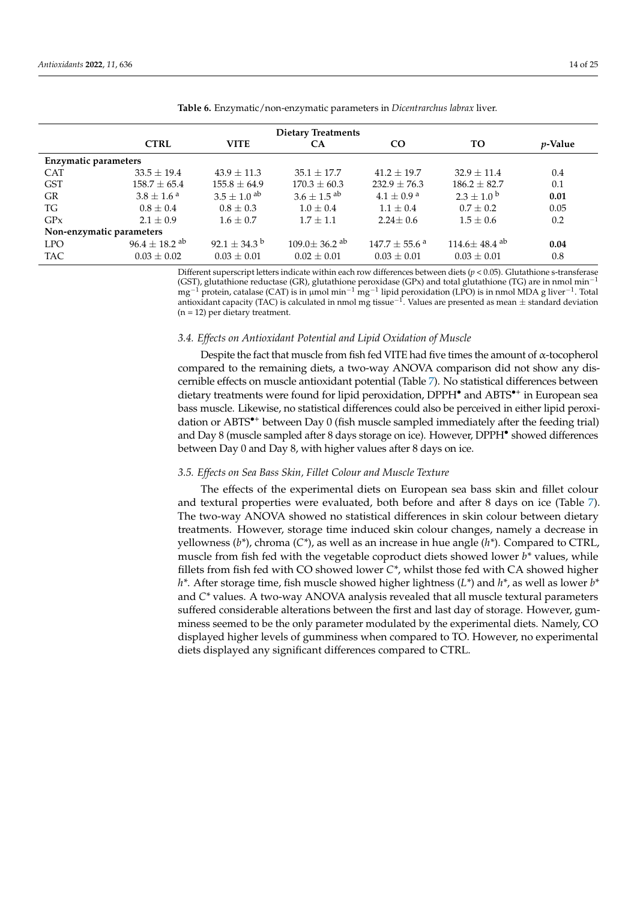| <b>Dietary Treatments</b>   |                               |                              |                                |                               |                                |                 |  |  |  |
|-----------------------------|-------------------------------|------------------------------|--------------------------------|-------------------------------|--------------------------------|-----------------|--|--|--|
|                             | <b>CTRL</b>                   | <b>VITE</b>                  | <b>CA</b>                      | CO                            | <b>TO</b>                      | <i>p</i> -Value |  |  |  |
| <b>Enzymatic parameters</b> |                               |                              |                                |                               |                                |                 |  |  |  |
| <b>CAT</b>                  | $33.5 \pm 19.4$               | $43.9 \pm 11.3$              | $35.1 \pm 17.7$                | $41.2 + 19.7$                 | $32.9 + 11.4$                  | 0.4             |  |  |  |
| <b>GST</b>                  | $158.7 \pm 65.4$              | $155.8 \pm 64.9$             | $170.3 \pm 60.3$               | $232.9 \pm 76.3$              | $186.2 \pm 82.7$               | 0.1             |  |  |  |
| GR                          | $3.8 \pm 1.6^{\text{ a}}$     | $3.5 + 1.0$ <sup>ab</sup>    | $3.6 + 1.5$ <sup>ab</sup>      | $4.1 \pm 0.9^{\text{a}}$      | $2.3 + 1.0^{b}$                | 0.01            |  |  |  |
| TG                          | $0.8 \pm 0.4$                 | $0.8 \pm 0.3$                | $1.0 + 0.4$                    | $1.1 \pm 0.4$                 | $0.7 + 0.2$                    | 0.05            |  |  |  |
| GPX                         | $2.1 + 0.9$                   | $1.6 \pm 0.7$                | $1.7 + 1.1$                    | $2.24 \pm 0.6$                | $1.5 \pm 0.6$                  | 0.2             |  |  |  |
| Non-enzymatic parameters    |                               |                              |                                |                               |                                |                 |  |  |  |
| <b>LPO</b>                  | $96.4 \pm 18.2$ <sup>ab</sup> | 92.1 $\pm$ 34.3 <sup>b</sup> | $109.0 \pm 36.2$ <sup>ab</sup> | $147.7 \pm 55.6$ <sup>a</sup> | $114.6 \pm 48.4$ <sup>ab</sup> | 0.04            |  |  |  |
| <b>TAC</b>                  | $0.03 \pm 0.02$               | $0.03 \pm 0.01$              | $0.02 + 0.01$                  | $0.03 \pm 0.01$               | $0.03 \pm 0.01$                | 0.8             |  |  |  |

<span id="page-13-0"></span>**Table 6.** Enzymatic/non-enzymatic parameters in *Dicentrarchus labrax* liver.

Different superscript letters indicate within each row differences between diets  $(p < 0.05)$ . Glutathione s-transferase (GST), glutathione reductase (GR), glutathione peroxidase (GPx) and total glutathione (TG) are in nmol min<sup>-1</sup> mg<sup>-1</sup> protein, catalase (CAT) is in µmol min<sup>-1</sup> mg<sup>-1</sup> lipid peroxidation (LPO) is in nmol MDA g liver<sup>-1</sup>. Total antioxidant capacity (TAC) is calculated in nmol mg tissue<sup>-1</sup>. Values are presented as mean ± standard deviation (n = 12) per dietary treatment.

#### *3.4. Effects on Antioxidant Potential and Lipid Oxidation of Muscle*

Despite the fact that muscle from fish fed VITE had five times the amount of  $\alpha$ -tocopherol compared to the remaining diets, a two-way ANOVA comparison did not show any discernible effects on muscle antioxidant potential (Table [7\)](#page-14-0). No statistical differences between dietary treatments were found for lipid peroxidation, DPPH<sup>•</sup> and ABTS<sup>•+</sup> in European sea bass muscle. Likewise, no statistical differences could also be perceived in either lipid peroxidation or  $ABTS^{\bullet+}$  between Day 0 (fish muscle sampled immediately after the feeding trial) and Day 8 (muscle sampled after 8 days storage on ice). However, DPPH• showed differences between Day 0 and Day 8, with higher values after 8 days on ice.

#### *3.5. Effects on Sea Bass Skin, Fillet Colour and Muscle Texture*

The effects of the experimental diets on European sea bass skin and fillet colour and textural properties were evaluated, both before and after 8 days on ice (Table [7\)](#page-14-0). The two-way ANOVA showed no statistical differences in skin colour between dietary treatments. However, storage time induced skin colour changes, namely a decrease in yellowness (*b\**), chroma (*C\**), as well as an increase in hue angle (*h\**). Compared to CTRL, muscle from fish fed with the vegetable coproduct diets showed lower *b\** values, while fillets from fish fed with CO showed lower *C\**, whilst those fed with CA showed higher *h\**. After storage time, fish muscle showed higher lightness (*L\**) and *h\**, as well as lower *b\** and *C\** values. A two-way ANOVA analysis revealed that all muscle textural parameters suffered considerable alterations between the first and last day of storage. However, gumminess seemed to be the only parameter modulated by the experimental diets. Namely, CO displayed higher levels of gumminess when compared to TO. However, no experimental diets displayed any significant differences compared to CTRL.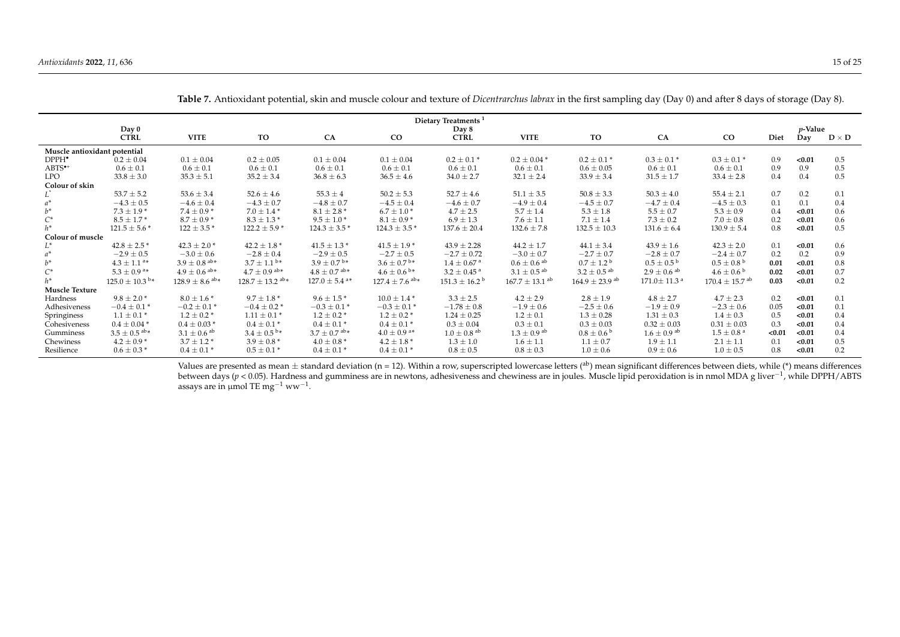|                              |                                |                                |                                 |                               |                                | Dietary Treatments <sup>1</sup> |                                |                                |                               |                                |        |                 |              |
|------------------------------|--------------------------------|--------------------------------|---------------------------------|-------------------------------|--------------------------------|---------------------------------|--------------------------------|--------------------------------|-------------------------------|--------------------------------|--------|-----------------|--------------|
|                              | Day 0                          |                                |                                 |                               |                                | Day 8                           |                                |                                |                               |                                |        | <i>p</i> -Value |              |
|                              | <b>CTRL</b>                    | <b>VITE</b>                    | TO                              | CA                            | $_{\rm CO}$                    | <b>CTRL</b>                     | <b>VITE</b>                    | TO                             | CA                            | $\rm CO$                       | Diet   | Day             | $D \times D$ |
| Muscle antioxidant potential |                                |                                |                                 |                               |                                |                                 |                                |                                |                               |                                |        |                 |              |
| DPPH <sup>•</sup>            | $0.2 \pm 0.04$                 | $0.1 \pm 0.04$                 | $0.2 \pm 0.05$                  | $0.1 \pm 0.04$                | $0.1 \pm 0.04$                 | $0.2 \pm 0.1*$                  | $0.2 \pm 0.04*$                | $0.2 \pm 0.1*$                 | $0.3 \pm 0.1*$                | $0.3 \pm 0.1*$                 | 0.9    | < 0.01          | 0.5          |
| ABTS <sup>*+</sup>           | $0.6 \pm 0.1$                  | $0.6 \pm 0.1$                  | $0.6 \pm 0.1$                   | $0.6 \pm 0.1$                 | $0.6 \pm 0.1$                  | $0.6 \pm 0.1$                   | $0.6 \pm 0.1$                  | $0.6 \pm 0.05$                 | $0.6 \pm 0.1$                 | $0.6 \pm 0.1$                  | 0.9    | 0.9             | 0.5          |
| <b>LPO</b>                   | $33.8 \pm 3.0$                 | $35.3 \pm 5.1$                 | $35.2 \pm 3.4$                  | $36.8 \pm 6.3$                | $36.5 \pm 4.6$                 | $34.0 \pm 2.7$                  | $32.1 \pm 2.4$                 | $33.9 \pm 3.4$                 | $31.5 \pm 1.7$                | $33.4 \pm 2.8$                 | 0.4    | 0.4             | 0.5          |
| Colour of skin               |                                |                                |                                 |                               |                                |                                 |                                |                                |                               |                                |        |                 |              |
|                              | $53.7 \pm 5.2$                 | $53.6 \pm 3.4$                 | $52.6 \pm 4.6$                  | $55.3 \pm 4$                  | $50.2 \pm 5.3$                 | $52.7 \pm 4.6$                  | $51.1 \pm 3.5$                 | $50.8 \pm 3.3$                 | $50.3 \pm 4.0$                | $55.4 \pm 2.1$                 | 0.7    | 0.2             | 0.1          |
|                              | $-4.3 \pm 0.5$                 | $-4.6 \pm 0.4$                 | $-4.3 \pm 0.7$                  | $-4.8 \pm 0.7$                | $-4.5 \pm 0.4$                 | $-4.6 \pm 0.7$                  | $-4.9 \pm 0.4$                 | $-4.5 \pm 0.7$                 | $-4.7 \pm 0.4$                | $-4.5 \pm 0.3$                 | 0.1    | 0.1             | 0.4          |
| $h^*$                        | $7.3 \pm 1.9*$                 | $7.4 \pm 0.9*$                 | $7.0 \pm 1.4$ *                 | $8.1 \pm 2.8$ *               | $6.7 \pm 1.0*$                 | $4.7 \pm 2.5$                   | $5.7 \pm 1.4$                  | $5.3 \pm 1.8$                  | $5.5 \pm 0.7$                 | $5.3 \pm 0.9$                  | 0.4    | < 0.01          | 0.6          |
| $C^*$                        | $8.5 \pm 1.7*$                 | $8.7 \pm 0.9*$                 | $8.3 \pm 1.3$ *                 | $9.5 \pm 1.0*$                | $8.1 \pm 0.9*$                 | $6.9 \pm 1.3$                   | $7.6 \pm 1.1$                  | $7.1 \pm 1.4$                  | $7.3 \pm 0.2$                 | $7.0 \pm 0.8$                  | 0.2    | < 0.01          | 0.6          |
| $h^*$                        | $121.5 \pm 5.6*$               | $122 \pm 3.5$ *                | $122.2 \pm 5.9$ *               | $124.3 \pm 3.5$ *             | $124.3 \pm 3.5$ *              | $137.6 \pm 20.4$                | $132.6 \pm 7.8$                | $132.5 \pm 10.3$               | $131.6 \pm 6.4$               | $130.9 \pm 5.4$                | 0.8    | < 0.01          | 0.5          |
| <b>Colour of muscle</b>      |                                |                                |                                 |                               |                                |                                 |                                |                                |                               |                                |        |                 |              |
| L*                           | $42.8 \pm 2.5$ *               | $42.3 \pm 2.0$ *               | $42.2 \pm 1.8$ *                | $41.5 \pm 1.3$ *              | $41.5 \pm 1.9$ *               | $43.9 \pm 2.28$                 | $44.2 \pm 1.7$                 | $44.1 \pm 3.4$                 | $43.9 \pm 1.6$                | $42.3 \pm 2.0$                 | 0.1    | < 0.01          | 0.6          |
|                              | $-2.9 \pm 0.5$                 | $-3.0 \pm 0.6$                 | $-2.8 \pm 0.4$                  | $-2.9 \pm 0.5$                | $-2.7 \pm 0.5$                 | $-2.7 \pm 0.72$                 | $-3.0 \pm 0.7$                 | $-2.7 \pm 0.7$                 | $-2.8 \pm 0.7$                | $-2.4 \pm 0.7$                 | 0.2    | 0.2             | 0.9          |
| $h^*$                        | $4.3 \pm 1.1$ <sup>a*</sup>    | $3.9\pm0.8$ ab*                | $3.7 \pm 1.1^{\,\mathrm{b}}*$   | $3.9 \pm 0.7^{\,\rm b*}$      | $3.6 \pm 0.7^{\,\mathrm{b}}*$  | $1.4 \pm 0.67$ <sup>a</sup>     | $0.6 \pm 0.6$ <sup>ab</sup>    | $0.7 \pm 1.2^{\mathrm{b}}$     | $0.5 \pm 0.5^{\circ}$         | $0.5 \pm 0.8^{\circ}$          | 0.01   | < 0.01          | 0.8          |
| $C^*$                        | $5.3 \pm 0.9$ <sup>a*</sup>    | $4.9 \pm 0.6$ ab*              | $4.7 \pm 0.9$ ab*               | $4.8 \pm 0.7$ ab*             | $4.6 \pm 0.6^{b*}$             | $3.2 \pm 0.45$ <sup>a</sup>     | $3.1 \pm 0.5$ <sup>ab</sup>    | $3.2 \pm 0.5$ <sup>ab</sup>    | $2.9 \pm 0.6$ ab              | $4.6 \pm 0.6^{\circ}$          | 0.02   | < 0.01          | 0.7          |
| $h^*$                        | $125.0 \pm 10.3$ <sup>b*</sup> | $128.9 \pm 8.6$ <sup>ab*</sup> | $128.7 \pm 13.2$ <sup>ab*</sup> | $127.0 \pm 5.4$ <sup>a*</sup> | $127.4 \pm 7.6$ <sup>ab*</sup> | $151.3 \pm 16.2^{\circ}$        | $167.7 \pm 13.1$ <sup>ab</sup> | $164.9 \pm 23.9$ <sup>ab</sup> | $171.0 \pm 11.3$ <sup>a</sup> | $170.4 \pm 15.7$ <sup>ab</sup> | 0.03   | < 0.01          | 0.2          |
| Muscle Texture               |                                |                                |                                 |                               |                                |                                 |                                |                                |                               |                                |        |                 |              |
| Hardness                     | $9.8 \pm 2.0*$                 | $8.0 \pm 1.6*$                 | $9.7 \pm 1.8$ *                 | $9.6 \pm 1.5*$                | $10.0 \pm 1.4$ *               | $3.3 \pm 2.5$                   | $4.2 \pm 2.9$                  | $2.8 \pm 1.9$                  | $4.8 \pm 2.7$                 | $4.7 \pm 2.3$                  | 0.2    | < 0.01          | 0.1          |
| Adhesiveness                 | $-0.4 \pm 0.1*$                | $-0.2 \pm 0.1$ *               | $-0.4 \pm 0.2$ *                | $-0.3 \pm 0.1*$               | $-0.3 \pm 0.1*$                | $-1.78 \pm 0.8$                 | $-1.9 \pm 0.6$                 | $-2.5 \pm 0.6$                 | $-1.9 \pm 0.9$                | $-2.3 \pm 0.6$                 | 0.05   | < 0.01          | 0.1          |
| Springiness                  | $1.1 \pm 0.1*$                 | $1.2 \pm 0.2$ *                | $1.11 \pm 0.1$ *                | $1.2 \pm 0.2^*$               | $1.2 \pm 0.2$ *                | $1.24 \pm 0.25$                 | $1.2 \pm 0.1$                  | $1.3 \pm 0.28$                 | $1.31 \pm 0.3$                | $1.4 \pm 0.3$                  | 0.5    | < 0.01          | 0.4          |
| Cohesiveness                 | $0.4 \pm 0.04*$                | $0.4 \pm 0.03*$                | $0.4 \pm 0.1*$                  | $0.4 \pm 0.1*$                | $0.4 \pm 0.1*$                 | $0.3 \pm 0.04$                  | $0.3 \pm 0.1$                  | $0.3 \pm 0.03$                 | $0.32 \pm 0.03$               | $0.31 \pm 0.03$                | 0.3    | < 0.01          | 0.4          |
| Gumminess                    | $3.5 \pm 0.5$ <sup>ab*</sup>   | $3.1\pm0.6$ ab                 | $3.4 \pm 0.5^{\,\mathrm{b}}*$   | $3.7 \pm 0.7$ ab*             | $4.0 \pm 0.9$ <sup>a*</sup>    | $1.0 \pm 0.8$ ab                | $1.3 \pm 0.9$ <sup>ab</sup>    | $0.8 \pm 0.6^{\circ}$          | $1.6 \pm 0.9$ <sup>ab</sup>   | $1.5 \pm 0.8^{\text{ a}}$      | < 0.01 | < 0.01          | 0.4          |
| Chewiness                    | $4.2 \pm 0.9*$                 | $3.7 \pm 1.2$ *                | $3.9 \pm 0.8^*$                 | $4.0 \pm 0.8^*$               | $4.2 \pm 1.8$ *                | $1.3 \pm 1.0$                   | $1.6 \pm 1.1$                  | $1.1 \pm 0.7$                  | $1.9 \pm 1.1$                 | $2.1 \pm 1.1$                  | 0.1    | < 0.01          | 0.5          |
| Resilience                   | $0.6 \pm 0.3*$                 | $0.4 \pm 0.1*$                 | $0.5 \pm 0.1*$                  | $0.4 \pm 0.1*$                | $0.4 \pm 0.1*$                 | $0.8 \pm 0.5$                   | $0.8 \pm 0.3$                  | $1.0 \pm 0.6$                  | $0.9 \pm 0.6$                 | $1.0 \pm 0.5$                  | 0.8    | < 0.01          | 0.2          |

**Table 7.** Antioxidant potential, skin and muscle colour and texture of *Dicentrarchus labrax* in the first sampling day (Day 0) and after 8 days of storage (Day 8).

<span id="page-14-0"></span>Values are presented as mean  $\pm$  standard deviation (n = 12). Within a row, superscripted lowercase letters (<sup>ab</sup>) mean significant differences between diets, while (\*) means differences between days (*p* < 0.05). Hardness and gumminess are in newtons, adhesiveness and chewiness are in joules. Muscle lipid peroxidation is in nmol MDA g liver−<sup>1</sup> , while DPPH/ABTS assays are in µmol TE mg $^{-1}$  ww $^{-1}$ .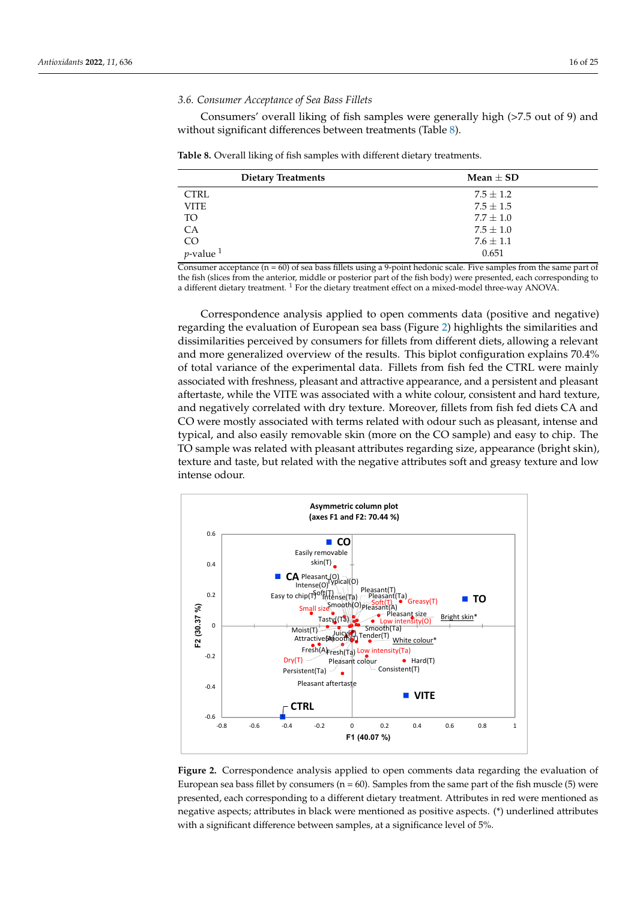#### *3.6. Consumer Acceptance of Sea Bass Fillets*

Consumers' overall liking of fish samples were generally high (>7.5 out of 9) and without significant differences between treatments (Table [8\)](#page-15-0).

<span id="page-15-0"></span>**Table 8.** Overall liking of fish samples with different dietary treatments.

| <b>Dietary Treatments</b>                   | Mean $\pm$ SD |
|---------------------------------------------|---------------|
| <b>CTRL</b>                                 | $7.5 \pm 1.2$ |
| <b>VITE</b>                                 | $7.5 \pm 1.5$ |
| TO                                          | $7.7 \pm 1.0$ |
| CA                                          | $7.5 \pm 1.0$ |
| $\text{CO}$<br><i>p</i> -value <sup>1</sup> | $7.6 \pm 1.1$ |
|                                             | 0.651         |

Consumer acceptance  $(n = 60)$  of sea bass fillets using a 9-point hedonic scale. Five samples from the same part of the fish (slices from the anterior, middle or posterior part of the fish body) were presented, each corresponding to a different dietary treatment. <sup>1</sup> For the dietary treatment effect on a mixed-model three-way ANOVA.

Correspondence analysis applied to open comments data (positive and negative) regarding the evaluation of European sea bass (Figure [2\)](#page-15-1) highlights the similarities and dissimilarities perceived by consumers for fillets from different diets, allowing a relevant and more generalized overview of the results. This biplot configuration explains 70.4% of total variance of the experimental data. Fillets from fish fed the CTRL were mainly associated with freshness, pleasant and attractive appearance, and a persistent and pleasant aftertaste, while the VITE was associated with a white colour, consistent and hard texture, and negatively correlated with dry texture. Moreover, fillets from fish fed diets CA and CO were mostly associated with terms related with odour such as pleasant, intense and typical, and also easily removable skin (more on the CO sample) and easy to chip. The TO sample was related with pleasant attributes regarding size, appearance (bright skin), texture and taste, but related with the negative attributes soft and greasy texture and low intense odour.

<span id="page-15-1"></span>

Figure 2. Correspondence analysis applied to open comments data regarding the evaluation of ropes search search by consumers and samples from the same part of the same part of the first muscle (5) were part of the first muscle (5) were part of the first muscle (5) were part of the first muscle (5) were part of th European sea bass fillet by consumers (n = 60). Samples from the same part of the fish muscle (5) were presented, each corresponding to a different dietary treatment. Attributes in red were mentioned as negative aspects; attributes in black were mentioned as positive aspects. (\*) underlined attributes **4. Discussion** with a significant difference between samples, at a significance level of 5%.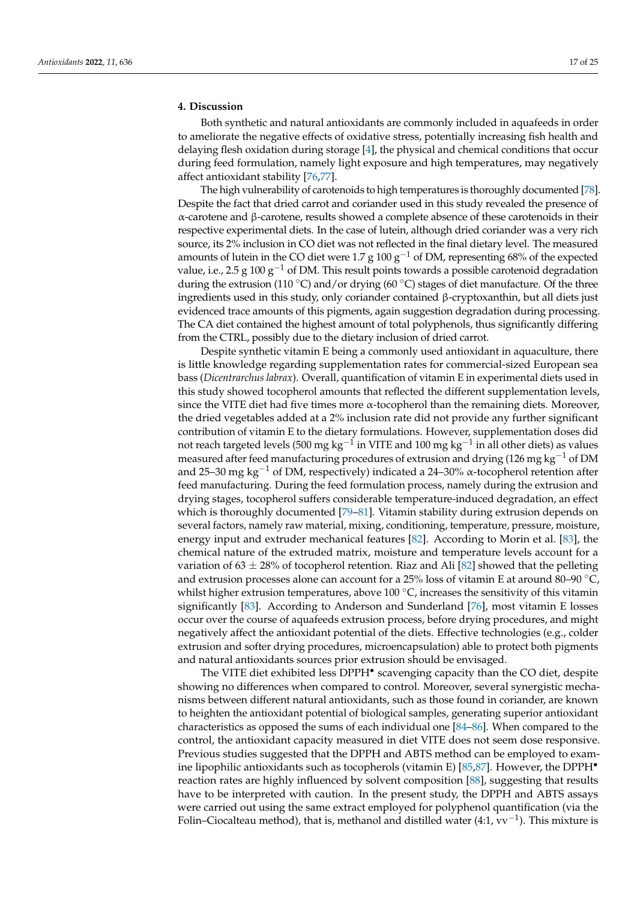#### **4. Discussion**

Both synthetic and natural antioxidants are commonly included in aquafeeds in order to ameliorate the negative effects of oxidative stress, potentially increasing fish health and delaying flesh oxidation during storage [\[4\]](#page-20-3), the physical and chemical conditions that occur during feed formulation, namely light exposure and high temperatures, may negatively affect antioxidant stability [\[76](#page-23-3)[,77\]](#page-23-4).

The high vulnerability of carotenoids to high temperatures is thoroughly documented [\[78\]](#page-23-5). Despite the fact that dried carrot and coriander used in this study revealed the presence of α-carotene and β-carotene, results showed a complete absence of these carotenoids in their respective experimental diets. In the case of lutein, although dried coriander was a very rich source, its 2% inclusion in CO diet was not reflected in the final dietary level. The measured amounts of lutein in the CO diet were 1.7 g 100  $g^{-1}$  of DM, representing 68% of the expected value, i.e., 2.5 g 100 g<sup>-1</sup> of DM. This result points towards a possible carotenoid degradation during the extrusion (110 °C) and/or drying (60 °C) stages of diet manufacture. Of the three ingredients used in this study, only coriander contained β-cryptoxanthin, but all diets just evidenced trace amounts of this pigments, again suggestion degradation during processing. The CA diet contained the highest amount of total polyphenols, thus significantly differing from the CTRL, possibly due to the dietary inclusion of dried carrot.

Despite synthetic vitamin E being a commonly used antioxidant in aquaculture, there is little knowledge regarding supplementation rates for commercial-sized European sea bass (*Dicentrarchus labrax*). Overall, quantification of vitamin E in experimental diets used in this study showed tocopherol amounts that reflected the different supplementation levels, since the VITE diet had five times more  $\alpha$ -tocopherol than the remaining diets. Moreover, the dried vegetables added at a 2% inclusion rate did not provide any further significant contribution of vitamin E to the dietary formulations. However, supplementation doses did not reach targeted levels (500 mg kg $^{\rm -1}$  in VITE and 100 mg kg $^{\rm -1}$  in all other diets) as values measured after feed manufacturing procedures of extrusion and drying (126 mg kg<sup>-1</sup> of DM and 25–30 mg kg<sup>-1</sup> of DM, respectively) indicated a 24–30%  $\alpha$ -tocopherol retention after feed manufacturing. During the feed formulation process, namely during the extrusion and drying stages, tocopherol suffers considerable temperature-induced degradation, an effect which is thoroughly documented [\[79–](#page-23-6)[81\]](#page-23-7). Vitamin stability during extrusion depends on several factors, namely raw material, mixing, conditioning, temperature, pressure, moisture, energy input and extruder mechanical features [\[82\]](#page-23-8). According to Morin et al. [\[83\]](#page-23-9), the chemical nature of the extruded matrix, moisture and temperature levels account for a variation of  $63 \pm 28\%$  of tocopherol retention. Riaz and Ali [\[82\]](#page-23-8) showed that the pelleting and extrusion processes alone can account for a 25% loss of vitamin E at around 80–90 ◦C, whilst higher extrusion temperatures, above 100  $^{\circ}$ C, increases the sensitivity of this vitamin significantly [\[83\]](#page-23-9). According to Anderson and Sunderland [\[76\]](#page-23-3), most vitamin E losses occur over the course of aquafeeds extrusion process, before drying procedures, and might negatively affect the antioxidant potential of the diets. Effective technologies (e.g., colder extrusion and softer drying procedures, microencapsulation) able to protect both pigments and natural antioxidants sources prior extrusion should be envisaged.

The VITE diet exhibited less DPPH<sup>•</sup> scavenging capacity than the CO diet, despite showing no differences when compared to control. Moreover, several synergistic mechanisms between different natural antioxidants, such as those found in coriander, are known to heighten the antioxidant potential of biological samples, generating superior antioxidant characteristics as opposed the sums of each individual one [\[84](#page-23-10)[–86\]](#page-23-11). When compared to the control, the antioxidant capacity measured in diet VITE does not seem dose responsive. Previous studies suggested that the DPPH and ABTS method can be employed to exam-ine lipophilic antioxidants such as tocopherols (vitamin E) [\[85,](#page-23-12)[87\]](#page-23-13). However, the DPPH $\bullet$ reaction rates are highly influenced by solvent composition [\[88\]](#page-23-14), suggesting that results have to be interpreted with caution. In the present study, the DPPH and ABTS assays were carried out using the same extract employed for polyphenol quantification (via the Folin–Ciocalteau method), that is, methanol and distilled water (4:1, vv−<sup>1</sup> ). This mixture is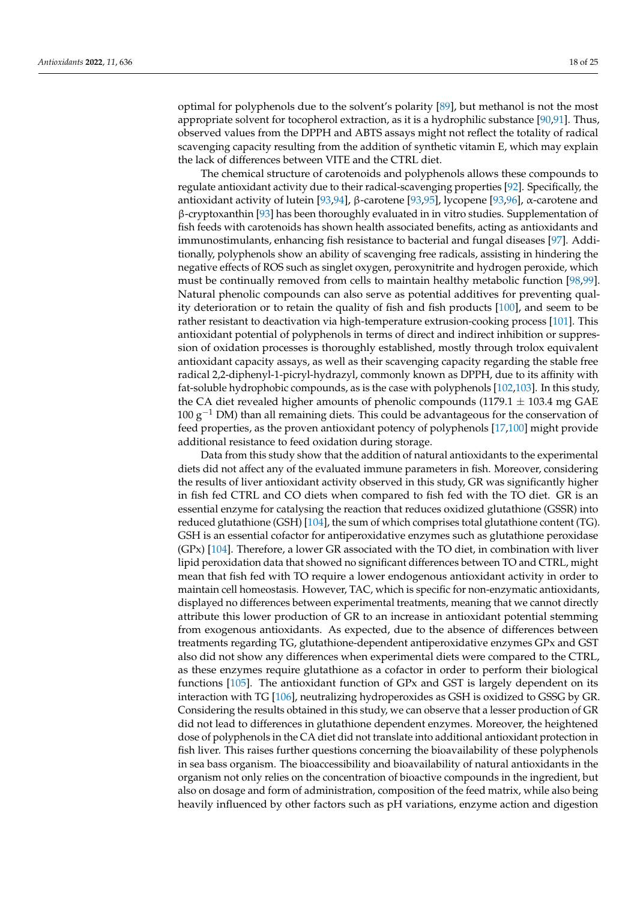optimal for polyphenols due to the solvent's polarity [\[89\]](#page-23-15), but methanol is not the most appropriate solvent for tocopherol extraction, as it is a hydrophilic substance [\[90](#page-23-16)[,91\]](#page-23-17). Thus, observed values from the DPPH and ABTS assays might not reflect the totality of radical scavenging capacity resulting from the addition of synthetic vitamin E, which may explain the lack of differences between VITE and the CTRL diet.

The chemical structure of carotenoids and polyphenols allows these compounds to regulate antioxidant activity due to their radical-scavenging properties [\[92\]](#page-23-18). Specifically, the antioxidant activity of lutein [\[93](#page-23-19)[,94\]](#page-23-20), β-carotene [\[93,](#page-23-19)[95\]](#page-23-21), lycopene [\[93,](#page-23-19)[96\]](#page-23-22), α-carotene and β-cryptoxanthin [\[93\]](#page-23-19) has been thoroughly evaluated in in vitro studies. Supplementation of fish feeds with carotenoids has shown health associated benefits, acting as antioxidants and immunostimulants, enhancing fish resistance to bacterial and fungal diseases [\[97\]](#page-23-23). Additionally, polyphenols show an ability of scavenging free radicals, assisting in hindering the negative effects of ROS such as singlet oxygen, peroxynitrite and hydrogen peroxide, which must be continually removed from cells to maintain healthy metabolic function [\[98,](#page-23-24)[99\]](#page-23-25). Natural phenolic compounds can also serve as potential additives for preventing quality deterioration or to retain the quality of fish and fish products [\[100\]](#page-23-26), and seem to be rather resistant to deactivation via high-temperature extrusion-cooking process [\[101\]](#page-23-27). This antioxidant potential of polyphenols in terms of direct and indirect inhibition or suppression of oxidation processes is thoroughly established, mostly through trolox equivalent antioxidant capacity assays, as well as their scavenging capacity regarding the stable free radical 2,2-diphenyl-1-picryl-hydrazyl, commonly known as DPPH, due to its affinity with fat-soluble hydrophobic compounds, as is the case with polyphenols [\[102,](#page-23-28)[103\]](#page-24-0). In this study, the CA diet revealed higher amounts of phenolic compounds (1179.1  $\pm$  103.4 mg GAE  $100 g<sup>-1</sup>$  DM) than all remaining diets. This could be advantageous for the conservation of feed properties, as the proven antioxidant potency of polyphenols [\[17,](#page-20-16)[100\]](#page-23-26) might provide additional resistance to feed oxidation during storage.

Data from this study show that the addition of natural antioxidants to the experimental diets did not affect any of the evaluated immune parameters in fish. Moreover, considering the results of liver antioxidant activity observed in this study, GR was significantly higher in fish fed CTRL and CO diets when compared to fish fed with the TO diet. GR is an essential enzyme for catalysing the reaction that reduces oxidized glutathione (GSSR) into reduced glutathione (GSH) [\[104\]](#page-24-1), the sum of which comprises total glutathione content (TG). GSH is an essential cofactor for antiperoxidative enzymes such as glutathione peroxidase (GPx) [\[104\]](#page-24-1). Therefore, a lower GR associated with the TO diet, in combination with liver lipid peroxidation data that showed no significant differences between TO and CTRL, might mean that fish fed with TO require a lower endogenous antioxidant activity in order to maintain cell homeostasis. However, TAC, which is specific for non-enzymatic antioxidants, displayed no differences between experimental treatments, meaning that we cannot directly attribute this lower production of GR to an increase in antioxidant potential stemming from exogenous antioxidants. As expected, due to the absence of differences between treatments regarding TG, glutathione-dependent antiperoxidative enzymes GPx and GST also did not show any differences when experimental diets were compared to the CTRL, as these enzymes require glutathione as a cofactor in order to perform their biological functions [\[105\]](#page-24-2). The antioxidant function of GPx and GST is largely dependent on its interaction with TG [\[106\]](#page-24-3), neutralizing hydroperoxides as GSH is oxidized to GSSG by GR. Considering the results obtained in this study, we can observe that a lesser production of GR did not lead to differences in glutathione dependent enzymes. Moreover, the heightened dose of polyphenols in the CA diet did not translate into additional antioxidant protection in fish liver. This raises further questions concerning the bioavailability of these polyphenols in sea bass organism. The bioaccessibility and bioavailability of natural antioxidants in the organism not only relies on the concentration of bioactive compounds in the ingredient, but also on dosage and form of administration, composition of the feed matrix, while also being heavily influenced by other factors such as pH variations, enzyme action and digestion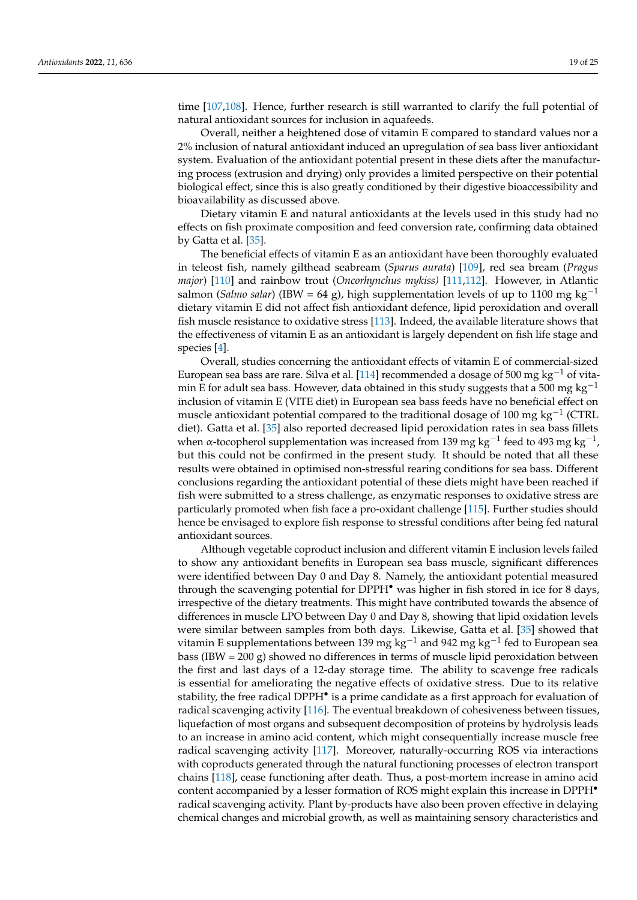time [\[107,](#page-24-4)[108\]](#page-24-5). Hence, further research is still warranted to clarify the full potential of natural antioxidant sources for inclusion in aquafeeds.

Overall, neither a heightened dose of vitamin E compared to standard values nor a 2% inclusion of natural antioxidant induced an upregulation of sea bass liver antioxidant system. Evaluation of the antioxidant potential present in these diets after the manufacturing process (extrusion and drying) only provides a limited perspective on their potential biological effect, since this is also greatly conditioned by their digestive bioaccessibility and bioavailability as discussed above.

Dietary vitamin E and natural antioxidants at the levels used in this study had no effects on fish proximate composition and feed conversion rate, confirming data obtained by Gatta et al. [\[35\]](#page-21-13).

The beneficial effects of vitamin E as an antioxidant have been thoroughly evaluated in teleost fish, namely gilthead seabream (*Sparus aurata*) [\[109\]](#page-24-6), red sea bream (*Pragus major*) [\[110\]](#page-24-7) and rainbow trout (*Oncorhynchus mykiss)* [\[111](#page-24-8)[,112\]](#page-24-9). However, in Atlantic salmon (*Salmo salar*) (IBW = 64 g), high supplementation levels of up to 1100 mg kg<sup>-1</sup> dietary vitamin E did not affect fish antioxidant defence, lipid peroxidation and overall fish muscle resistance to oxidative stress [\[113\]](#page-24-10). Indeed, the available literature shows that the effectiveness of vitamin E as an antioxidant is largely dependent on fish life stage and species [\[4\]](#page-20-3).

Overall, studies concerning the antioxidant effects of vitamin E of commercial-sized European sea bass are rare. Silva et al. [\[114\]](#page-24-11) recommended a dosage of 500 mg kg<sup>-1</sup> of vitamin E for adult sea bass. However, data obtained in this study suggests that a 500 mg kg<sup>-1</sup> inclusion of vitamin E (VITE diet) in European sea bass feeds have no beneficial effect on muscle antioxidant potential compared to the traditional dosage of 100 mg kg $^{\rm -1}$  (CTRL diet). Gatta et al. [\[35\]](#page-21-13) also reported decreased lipid peroxidation rates in sea bass fillets when α-tocopherol supplementation was increased from 139 mg kg<sup>-1</sup> feed to 493 mg kg<sup>-1</sup>, but this could not be confirmed in the present study. It should be noted that all these results were obtained in optimised non-stressful rearing conditions for sea bass. Different conclusions regarding the antioxidant potential of these diets might have been reached if fish were submitted to a stress challenge, as enzymatic responses to oxidative stress are particularly promoted when fish face a pro-oxidant challenge [\[115\]](#page-24-12). Further studies should hence be envisaged to explore fish response to stressful conditions after being fed natural antioxidant sources.

Although vegetable coproduct inclusion and different vitamin E inclusion levels failed to show any antioxidant benefits in European sea bass muscle, significant differences were identified between Day 0 and Day 8. Namely, the antioxidant potential measured through the scavenging potential for DPPH• was higher in fish stored in ice for 8 days, irrespective of the dietary treatments. This might have contributed towards the absence of differences in muscle LPO between Day 0 and Day 8, showing that lipid oxidation levels were similar between samples from both days. Likewise, Gatta et al. [\[35\]](#page-21-13) showed that vitamin E supplementations between 139 mg kg<sup>-1</sup> and 942 mg kg<sup>-1</sup> fed to European sea bass (IBW = 200 g) showed no differences in terms of muscle lipid peroxidation between the first and last days of a 12-day storage time. The ability to scavenge free radicals is essential for ameliorating the negative effects of oxidative stress. Due to its relative stability, the free radical DPPH<sup>•</sup> is a prime candidate as a first approach for evaluation of radical scavenging activity [\[116\]](#page-24-13). The eventual breakdown of cohesiveness between tissues, liquefaction of most organs and subsequent decomposition of proteins by hydrolysis leads to an increase in amino acid content, which might consequentially increase muscle free radical scavenging activity [\[117\]](#page-24-14). Moreover, naturally-occurring ROS via interactions with coproducts generated through the natural functioning processes of electron transport chains [\[118\]](#page-24-15), cease functioning after death. Thus, a post-mortem increase in amino acid content accompanied by a lesser formation of ROS might explain this increase in DPPH• radical scavenging activity. Plant by-products have also been proven effective in delaying chemical changes and microbial growth, as well as maintaining sensory characteristics and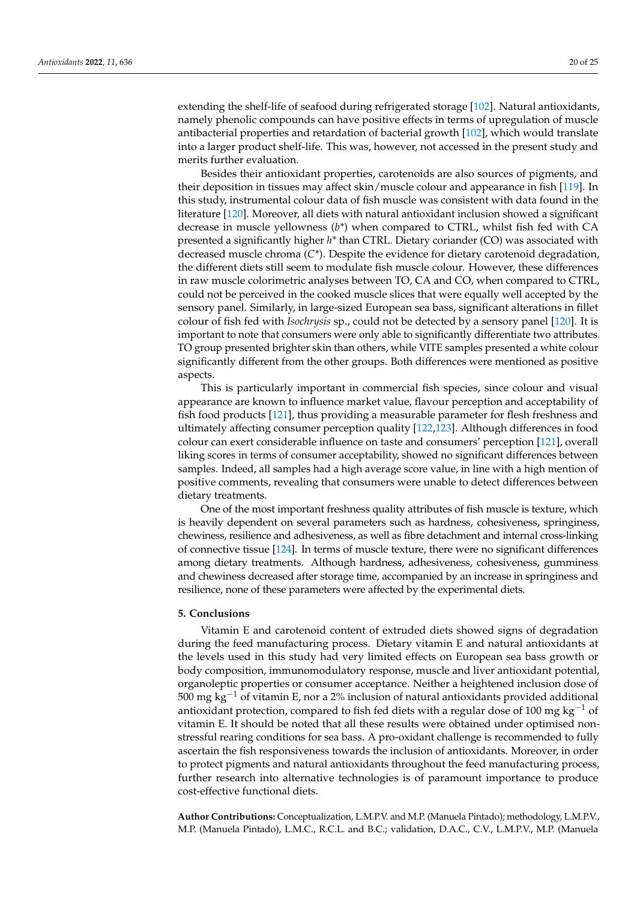extending the shelf-life of seafood during refrigerated storage [\[102\]](#page-23-28). Natural antioxidants, namely phenolic compounds can have positive effects in terms of upregulation of muscle antibacterial properties and retardation of bacterial growth [\[102\]](#page-23-28), which would translate into a larger product shelf-life. This was, however, not accessed in the present study and merits further evaluation.

Besides their antioxidant properties, carotenoids are also sources of pigments, and their deposition in tissues may affect skin/muscle colour and appearance in fish [\[119\]](#page-24-16). In this study, instrumental colour data of fish muscle was consistent with data found in the literature [\[120\]](#page-24-17). Moreover, all diets with natural antioxidant inclusion showed a significant decrease in muscle yellowness (*b\**) when compared to CTRL, whilst fish fed with CA presented a significantly higher *h\** than CTRL. Dietary coriander (CO) was associated with decreased muscle chroma (*C\**). Despite the evidence for dietary carotenoid degradation, the different diets still seem to modulate fish muscle colour. However, these differences in raw muscle colorimetric analyses between TO, CA and CO, when compared to CTRL, could not be perceived in the cooked muscle slices that were equally well accepted by the sensory panel. Similarly, in large-sized European sea bass, significant alterations in fillet colour of fish fed with *Isochrysis* sp., could not be detected by a sensory panel [\[120\]](#page-24-17). It is important to note that consumers were only able to significantly differentiate two attributes. TO group presented brighter skin than others, while VITE samples presented a white colour significantly different from the other groups. Both differences were mentioned as positive aspects.

This is particularly important in commercial fish species, since colour and visual appearance are known to influence market value, flavour perception and acceptability of fish food products [\[121\]](#page-24-18), thus providing a measurable parameter for flesh freshness and ultimately affecting consumer perception quality [\[122,](#page-24-19)[123\]](#page-24-20). Although differences in food colour can exert considerable influence on taste and consumers' perception [\[121\]](#page-24-18), overall liking scores in terms of consumer acceptability, showed no significant differences between samples. Indeed, all samples had a high average score value, in line with a high mention of positive comments, revealing that consumers were unable to detect differences between dietary treatments.

One of the most important freshness quality attributes of fish muscle is texture, which is heavily dependent on several parameters such as hardness, cohesiveness, springiness, chewiness, resilience and adhesiveness, as well as fibre detachment and internal cross-linking of connective tissue [\[124\]](#page-24-21). In terms of muscle texture, there were no significant differences among dietary treatments. Although hardness, adhesiveness, cohesiveness, gumminess and chewiness decreased after storage time, accompanied by an increase in springiness and resilience, none of these parameters were affected by the experimental diets.

#### **5. Conclusions**

Vitamin E and carotenoid content of extruded diets showed signs of degradation during the feed manufacturing process. Dietary vitamin E and natural antioxidants at the levels used in this study had very limited effects on European sea bass growth or body composition, immunomodulatory response, muscle and liver antioxidant potential, organoleptic properties or consumer acceptance. Neither a heightened inclusion dose of 500 mg kg<sup>-1</sup> of vitamin E, nor a 2% inclusion of natural antioxidants provided additional antioxidant protection, compared to fish fed diets with a regular dose of 100 mg kg<sup>-1</sup> of vitamin E. It should be noted that all these results were obtained under optimised nonstressful rearing conditions for sea bass. A pro-oxidant challenge is recommended to fully ascertain the fish responsiveness towards the inclusion of antioxidants. Moreover, in order to protect pigments and natural antioxidants throughout the feed manufacturing process, further research into alternative technologies is of paramount importance to produce cost-effective functional diets.

**Author Contributions:** Conceptualization, L.M.P.V. and M.P. (Manuela Pintado); methodology, L.M.P.V., M.P. (Manuela Pintado), L.M.C., R.C.L. and B.C.; validation, D.A.C., C.V., L.M.P.V., M.P. (Manuela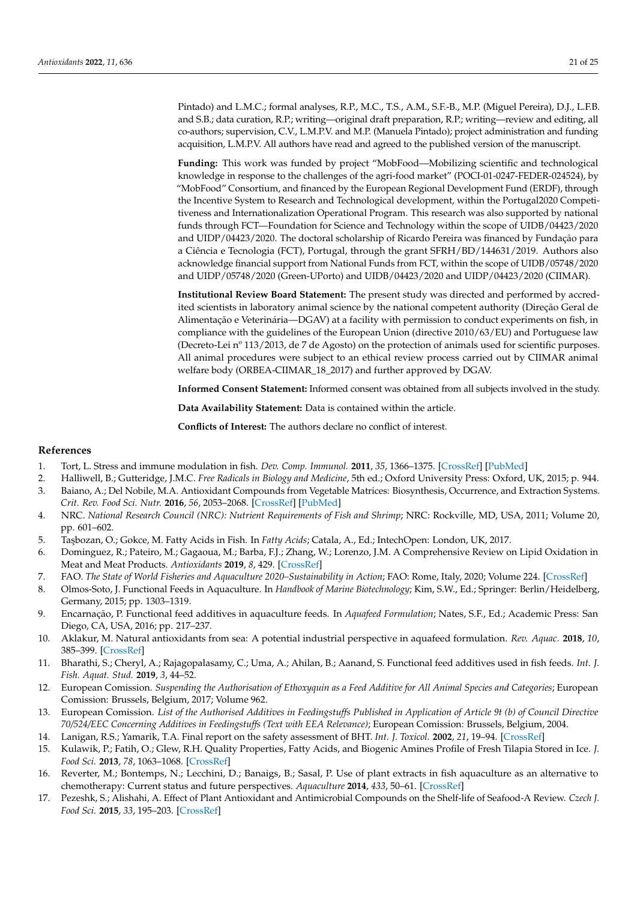Pintado) and L.M.C.; formal analyses, R.P., M.C., T.S., A.M., S.F.-B., M.P. (Miguel Pereira), D.J., L.F.B. and S.B.; data curation, R.P.; writing—original draft preparation, R.P.; writing—review and editing, all co-authors; supervision, C.V., L.M.P.V. and M.P. (Manuela Pintado); project administration and funding acquisition, L.M.P.V. All authors have read and agreed to the published version of the manuscript.

**Funding:** This work was funded by project "MobFood—Mobilizing scientific and technological knowledge in response to the challenges of the agri-food market" (POCI-01-0247-FEDER-024524), by "MobFood" Consortium, and financed by the European Regional Development Fund (ERDF), through the Incentive System to Research and Technological development, within the Portugal2020 Competitiveness and Internationalization Operational Program. This research was also supported by national funds through FCT—Foundation for Science and Technology within the scope of UIDB/04423/2020 and UIDP/04423/2020. The doctoral scholarship of Ricardo Pereira was financed by Fundação para a Ciência e Tecnologia (FCT), Portugal, through the grant SFRH/BD/144631/2019. Authors also acknowledge financial support from National Funds from FCT, within the scope of UIDB/05748/2020 and UIDP/05748/2020 (Green-UPorto) and UIDB/04423/2020 and UIDP/04423/2020 (CIIMAR).

**Institutional Review Board Statement:** The present study was directed and performed by accredited scientists in laboratory animal science by the national competent authority (Direção Geral de Alimentação e Veterinária—DGAV) at a facility with permission to conduct experiments on fish, in compliance with the guidelines of the European Union (directive 2010/63/EU) and Portuguese law (Decreto-Lei nº 113/2013, de 7 de Agosto) on the protection of animals used for scientific purposes. All animal procedures were subject to an ethical review process carried out by CIIMAR animal welfare body (ORBEA-CIIMAR\_18\_2017) and further approved by DGAV.

**Informed Consent Statement:** Informed consent was obtained from all subjects involved in the study.

**Data Availability Statement:** Data is contained within the article.

**Conflicts of Interest:** The authors declare no conflict of interest.

#### **References**

- <span id="page-20-0"></span>1. Tort, L. Stress and immune modulation in fish. *Dev. Comp. Immunol.* **2011**, *35*, 1366–1375. [\[CrossRef\]](http://doi.org/10.1016/j.dci.2011.07.002) [\[PubMed\]](http://www.ncbi.nlm.nih.gov/pubmed/21782845)
- <span id="page-20-1"></span>2. Halliwell, B.; Gutteridge, J.M.C. *Free Radicals in Biology and Medicine*, 5th ed.; Oxford University Press: Oxford, UK, 2015; p. 944.
- <span id="page-20-2"></span>3. Baiano, A.; Del Nobile, M.A. Antioxidant Compounds from Vegetable Matrices: Biosynthesis, Occurrence, and Extraction Systems. *Crit. Rev. Food Sci. Nutr.* **2016**, *56*, 2053–2068. [\[CrossRef\]](http://doi.org/10.1080/10408398.2013.812059) [\[PubMed\]](http://www.ncbi.nlm.nih.gov/pubmed/25751787)
- <span id="page-20-3"></span>4. NRC. *National Research Council (NRC): Nutrient Requirements of Fish and Shrimp*; NRC: Rockville, MD, USA, 2011; Volume 20, pp. 601–602.
- <span id="page-20-4"></span>5. Ta¸sbozan, O.; Gokce, M. Fatty Acids in Fish. In *Fatty Acids*; Catala, A., Ed.; IntechOpen: London, UK, 2017.
- <span id="page-20-5"></span>6. Dominguez, R.; Pateiro, M.; Gagaoua, M.; Barba, F.J.; Zhang, W.; Lorenzo, J.M. A Comprehensive Review on Lipid Oxidation in Meat and Meat Products. *Antioxidants* **2019**, *8*, 429. [\[CrossRef\]](http://doi.org/10.3390/antiox8100429)
- <span id="page-20-6"></span>7. FAO. The State of World Fisheries and Aquaculture 2020–Sustainability in Action; FAO: Rome, Italy, 2020; Volume 224. [\[CrossRef\]](http://doi.org/10.4060/ca9229en)
- <span id="page-20-7"></span>8. Olmos-Soto, J. Functional Feeds in Aquaculture. In *Handbook of Marine Biotechnology*; Kim, S.W., Ed.; Springer: Berlin/Heidelberg, Germany, 2015; pp. 1303–1319.
- <span id="page-20-8"></span>9. Encarnação, P. Functional feed additives in aquaculture feeds. In *Aquafeed Formulation*; Nates, S.F., Ed.; Academic Press: San Diego, CA, USA, 2016; pp. 217–237.
- <span id="page-20-9"></span>10. Aklakur, M. Natural antioxidants from sea: A potential industrial perspective in aquafeed formulation. *Rev. Aquac.* **2018**, *10*, 385–399. [\[CrossRef\]](http://doi.org/10.1111/raq.12167)
- <span id="page-20-10"></span>11. Bharathi, S.; Cheryl, A.; Rajagopalasamy, C.; Uma, A.; Ahilan, B.; Aanand, S. Functional feed additives used in fish feeds. *Int. J. Fish. Aquat. Stud.* **2019**, *3*, 44–52.
- <span id="page-20-11"></span>12. European Comission. *Suspending the Authorisation of Ethoxyquin as a Feed Additive for All Animal Species and Categories*; European Comission: Brussels, Belgium, 2017; Volume 962.
- <span id="page-20-12"></span>13. European Comission. *List of the Authorised Additives in Feedingstuffs Published in Application of Article 9t (b) of Council Directive 70/524/EEC Concerning Additives in Feedingstuffs (Text with EEA Relevance)*; European Comission: Brussels, Belgium, 2004.
- <span id="page-20-13"></span>14. Lanigan, R.S.; Yamarik, T.A. Final report on the safety assessment of BHT. *Int. J. Toxicol.* **2002**, *21*, 19–94. [\[CrossRef\]](http://doi.org/10.1080/10915810290096513)
- <span id="page-20-14"></span>15. Kulawik, P.; Fatih, O.; Glew, R.H. Quality Properties, Fatty Acids, and Biogenic Amines Profile of Fresh Tilapia Stored in Ice. *J. Food Sci.* **2013**, *78*, 1063–1068. [\[CrossRef\]](http://doi.org/10.1111/1750-3841.12149)
- <span id="page-20-15"></span>16. Reverter, M.; Bontemps, N.; Lecchini, D.; Banaigs, B.; Sasal, P. Use of plant extracts in fish aquaculture as an alternative to chemotherapy: Current status and future perspectives. *Aquaculture* **2014**, *433*, 50–61. [\[CrossRef\]](http://doi.org/10.1016/j.aquaculture.2014.05.048)
- <span id="page-20-16"></span>17. Pezeshk, S.; Alishahi, A. Effect of Plant Antioxidant and Antimicrobial Compounds on the Shelf-life of Seafood-A Review. *Czech J. Food Sci.* **2015**, *33*, 195–203. [\[CrossRef\]](http://doi.org/10.17221/593/2014-CJFS)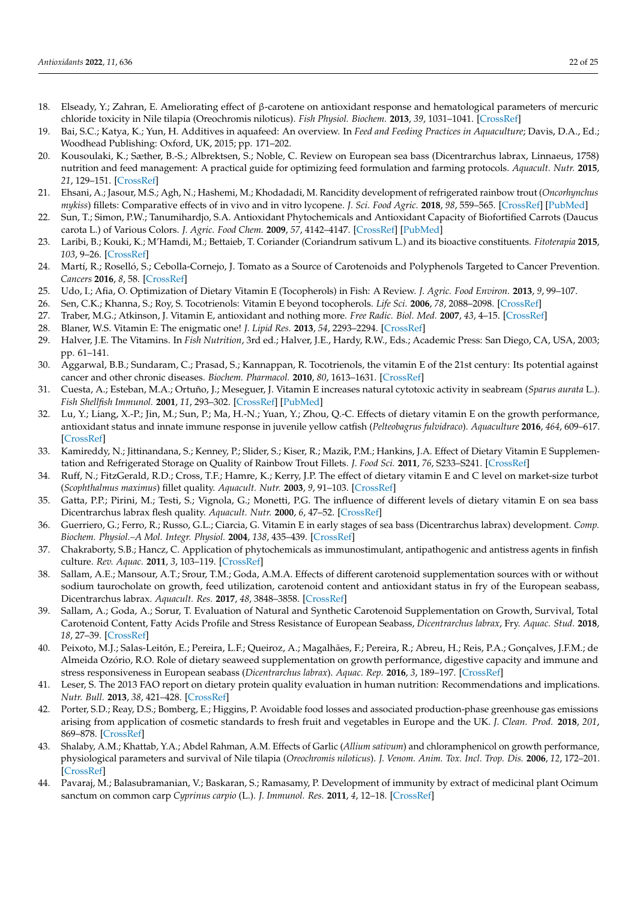- <span id="page-21-0"></span>18. Elseady, Y.; Zahran, E. Ameliorating effect of β-carotene on antioxidant response and hematological parameters of mercuric chloride toxicity in Nile tilapia (Oreochromis niloticus). *Fish Physiol. Biochem.* **2013**, *39*, 1031–1041. [\[CrossRef\]](http://doi.org/10.1007/s10695-012-9760-8)
- 19. Bai, S.C.; Katya, K.; Yun, H. Additives in aquafeed: An overview. In *Feed and Feeding Practices in Aquaculture*; Davis, D.A., Ed.; Woodhead Publishing: Oxford, UK, 2015; pp. 171–202.
- 20. Kousoulaki, K.; Sæther, B.-S.; Albrektsen, S.; Noble, C. Review on European sea bass (Dicentrarchus labrax, Linnaeus, 1758) nutrition and feed management: A practical guide for optimizing feed formulation and farming protocols. *Aquacult. Nutr.* **2015**, *21*, 129–151. [\[CrossRef\]](http://doi.org/10.1111/anu.12233)
- <span id="page-21-1"></span>21. Ehsani, A.; Jasour, M.S.; Agh, N.; Hashemi, M.; Khodadadi, M. Rancidity development of refrigerated rainbow trout (*Oncorhynchus mykiss*) fillets: Comparative effects of in vivo and in vitro lycopene. *J. Sci. Food Agric.* **2018**, *98*, 559–565. [\[CrossRef\]](http://doi.org/10.1002/jsfa.8497) [\[PubMed\]](http://www.ncbi.nlm.nih.gov/pubmed/28639694)
- <span id="page-21-2"></span>22. Sun, T.; Simon, P.W.; Tanumihardjo, S.A. Antioxidant Phytochemicals and Antioxidant Capacity of Biofortified Carrots (Daucus carota L.) of Various Colors. *J. Agric. Food Chem.* **2009**, *57*, 4142–4147. [\[CrossRef\]](http://doi.org/10.1021/jf9001044) [\[PubMed\]](http://www.ncbi.nlm.nih.gov/pubmed/19358535)
- 23. Laribi, B.; Kouki, K.; M'Hamdi, M.; Bettaieb, T. Coriander (Coriandrum sativum L.) and its bioactive constituents. *Fitoterapia* **2015**, *103*, 9–26. [\[CrossRef\]](http://doi.org/10.1016/j.fitote.2015.03.012)
- <span id="page-21-3"></span>24. Martí, R.; Roselló, S.; Cebolla-Cornejo, J. Tomato as a Source of Carotenoids and Polyphenols Targeted to Cancer Prevention. *Cancers* **2016**, *8*, 58. [\[CrossRef\]](http://doi.org/10.3390/cancers8060058)
- <span id="page-21-4"></span>25. Udo, I.; Afia, O. Optimization of Dietary Vitamin E (Tocopherols) in Fish: A Review. *J. Agric. Food Environ.* **2013**, *9*, 99–107.
- <span id="page-21-5"></span>26. Sen, C.K.; Khanna, S.; Roy, S. Tocotrienols: Vitamin E beyond tocopherols. *Life Sci.* **2006**, *78*, 2088–2098. [\[CrossRef\]](http://doi.org/10.1016/j.lfs.2005.12.001)
- 27. Traber, M.G.; Atkinson, J. Vitamin E, antioxidant and nothing more. *Free Radic. Biol. Med.* **2007**, *43*, 4–15. [\[CrossRef\]](http://doi.org/10.1016/j.freeradbiomed.2007.03.024)
- <span id="page-21-6"></span>28. Blaner, W.S. Vitamin E: The enigmatic one! *J. Lipid Res.* **2013**, *54*, 2293–2294. [\[CrossRef\]](http://doi.org/10.1194/jlr.E042267)
- <span id="page-21-7"></span>29. Halver, J.E. The Vitamins. In *Fish Nutrition*, 3rd ed.; Halver, J.E., Hardy, R.W., Eds.; Academic Press: San Diego, CA, USA, 2003; pp. 61–141.
- <span id="page-21-8"></span>30. Aggarwal, B.B.; Sundaram, C.; Prasad, S.; Kannappan, R. Tocotrienols, the vitamin E of the 21st century: Its potential against cancer and other chronic diseases. *Biochem. Pharmacol.* **2010**, *80*, 1613–1631. [\[CrossRef\]](http://doi.org/10.1016/j.bcp.2010.07.043)
- <span id="page-21-9"></span>31. Cuesta, A.; Esteban, M.A.; Ortuño, J.; Meseguer, J. Vitamin E increases natural cytotoxic activity in seabream (*Sparus aurata* L.). *Fish Shellfish Immunol.* **2001**, *11*, 293–302. [\[CrossRef\]](http://doi.org/10.1006/fsim.2000.0316) [\[PubMed\]](http://www.ncbi.nlm.nih.gov/pubmed/11417717)
- <span id="page-21-10"></span>32. Lu, Y.; Liang, X.-P.; Jin, M.; Sun, P.; Ma, H.-N.; Yuan, Y.; Zhou, Q.-C. Effects of dietary vitamin E on the growth performance, antioxidant status and innate immune response in juvenile yellow catfish (*Pelteobagrus fulvidraco*). *Aquaculture* **2016**, *464*, 609–617. [\[CrossRef\]](http://doi.org/10.1016/j.aquaculture.2016.08.009)
- <span id="page-21-11"></span>33. Kamireddy, N.; Jittinandana, S.; Kenney, P.; Slider, S.; Kiser, R.; Mazik, P.M.; Hankins, J.A. Effect of Dietary Vitamin E Supplementation and Refrigerated Storage on Quality of Rainbow Trout Fillets. *J. Food Sci.* **2011**, *76*, S233–S241. [\[CrossRef\]](http://doi.org/10.1111/j.1750-3841.2011.02121.x)
- <span id="page-21-12"></span>34. Ruff, N.; FitzGerald, R.D.; Cross, T.F.; Hamre, K.; Kerry, J.P. The effect of dietary vitamin E and C level on market-size turbot (*Scophthalmus maximus*) fillet quality. *Aquacult. Nutr.* **2003**, *9*, 91–103. [\[CrossRef\]](http://doi.org/10.1046/j.1365-2095.2003.00230.x)
- <span id="page-21-13"></span>35. Gatta, P.P.; Pirini, M.; Testi, S.; Vignola, G.; Monetti, P.G. The influence of different levels of dietary vitamin E on sea bass Dicentrarchus labrax flesh quality. *Aquacult. Nutr.* **2000**, *6*, 47–52. [\[CrossRef\]](http://doi.org/10.1046/j.1365-2095.2000.00127.x)
- <span id="page-21-14"></span>36. Guerriero, G.; Ferro, R.; Russo, G.L.; Ciarcia, G. Vitamin E in early stages of sea bass (Dicentrarchus labrax) development. *Comp. Biochem. Physiol.–A Mol. Integr. Physiol.* **2004**, *138*, 435–439. [\[CrossRef\]](http://doi.org/10.1016/j.cbpb.2004.06.003)
- <span id="page-21-15"></span>37. Chakraborty, S.B.; Hancz, C. Application of phytochemicals as immunostimulant, antipathogenic and antistress agents in finfish culture. *Rev. Aquac.* **2011**, *3*, 103–119. [\[CrossRef\]](http://doi.org/10.1111/j.1753-5131.2011.01048.x)
- <span id="page-21-16"></span>38. Sallam, A.E.; Mansour, A.T.; Srour, T.M.; Goda, A.M.A. Effects of different carotenoid supplementation sources with or without sodium taurocholate on growth, feed utilization, carotenoid content and antioxidant status in fry of the European seabass, Dicentrarchus labrax. *Aquacult. Res.* **2017**, *48*, 3848–3858. [\[CrossRef\]](http://doi.org/10.1111/are.13212)
- <span id="page-21-17"></span>39. Sallam, A.; Goda, A.; Sorur, T. Evaluation of Natural and Synthetic Carotenoid Supplementation on Growth, Survival, Total Carotenoid Content, Fatty Acids Profile and Stress Resistance of European Seabass, *Dicentrarchus labrax*, Fry. *Aquac. Stud.* **2018**, *18*, 27–39. [\[CrossRef\]](http://doi.org/10.4194/2618-6381-v18_1_04)
- <span id="page-21-18"></span>40. Peixoto, M.J.; Salas-Leitón, E.; Pereira, L.F.; Queiroz, A.; Magalhães, F.; Pereira, R.; Abreu, H.; Reis, P.A.; Gonçalves, J.F.M.; de Almeida Ozório, R.O. Role of dietary seaweed supplementation on growth performance, digestive capacity and immune and stress responsiveness in European seabass (*Dicentrarchus labrax*). *Aquac. Rep.* **2016**, *3*, 189–197. [\[CrossRef\]](http://doi.org/10.1016/j.aqrep.2016.03.005)
- <span id="page-21-19"></span>41. Leser, S. The 2013 FAO report on dietary protein quality evaluation in human nutrition: Recommendations and implications. *Nutr. Bull.* **2013**, *38*, 421–428. [\[CrossRef\]](http://doi.org/10.1111/nbu.12063)
- 42. Porter, S.D.; Reay, D.S.; Bomberg, E.; Higgins, P. Avoidable food losses and associated production-phase greenhouse gas emissions arising from application of cosmetic standards to fresh fruit and vegetables in Europe and the UK. *J. Clean. Prod.* **2018**, *201*, 869–878. [\[CrossRef\]](http://doi.org/10.1016/j.jclepro.2018.08.079)
- 43. Shalaby, A.M.; Khattab, Y.A.; Abdel Rahman, A.M. Effects of Garlic (*Allium sativum*) and chloramphenicol on growth performance, physiological parameters and survival of Nile tilapia (*Oreochromis niloticus*). *J. Venom. Anim. Tox. Incl. Trop. Dis.* **2006**, *12*, 172–201. [\[CrossRef\]](http://doi.org/10.1590/S1678-91992006000200003)
- <span id="page-21-20"></span>44. Pavaraj, M.; Balasubramanian, V.; Baskaran, S.; Ramasamy, P. Development of immunity by extract of medicinal plant Ocimum sanctum on common carp *Cyprinus carpio* (L.). *J. Immunol. Res.* **2011**, *4*, 12–18. [\[CrossRef\]](http://doi.org/10.3923/rji.2011.12.18)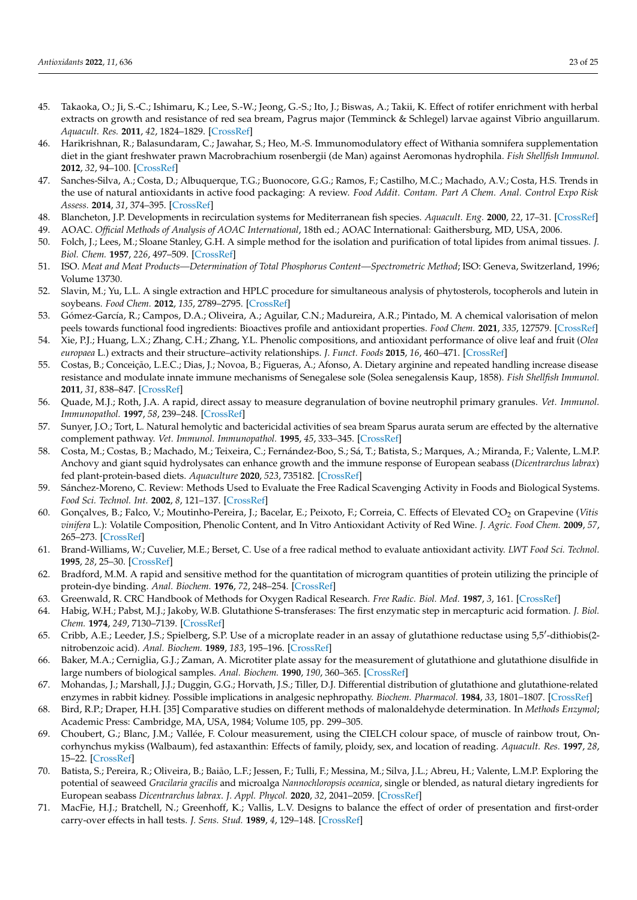- <span id="page-22-0"></span>45. Takaoka, O.; Ji, S.-C.; Ishimaru, K.; Lee, S.-W.; Jeong, G.-S.; Ito, J.; Biswas, A.; Takii, K. Effect of rotifer enrichment with herbal extracts on growth and resistance of red sea bream, Pagrus major (Temminck & Schlegel) larvae against Vibrio anguillarum. *Aquacult. Res.* **2011**, *42*, 1824–1829. [\[CrossRef\]](http://doi.org/10.1111/j.1365-2109.2010.02783.x)
- <span id="page-22-1"></span>46. Harikrishnan, R.; Balasundaram, C.; Jawahar, S.; Heo, M.-S. Immunomodulatory effect of Withania somnifera supplementation diet in the giant freshwater prawn Macrobrachium rosenbergii (de Man) against Aeromonas hydrophila. *Fish Shellfish Immunol.* **2012**, *32*, 94–100. [\[CrossRef\]](http://doi.org/10.1016/j.fsi.2011.10.027)
- <span id="page-22-2"></span>47. Sanches-Silva, A.; Costa, D.; Albuquerque, T.G.; Buonocore, G.G.; Ramos, F.; Castilho, M.C.; Machado, A.V.; Costa, H.S. Trends in the use of natural antioxidants in active food packaging: A review. *Food Addit. Contam. Part A Chem. Anal. Control Expo Risk Assess.* **2014**, *31*, 374–395. [\[CrossRef\]](http://doi.org/10.1080/19440049.2013.879215)
- <span id="page-22-3"></span>48. Blancheton, J.P. Developments in recirculation systems for Mediterranean fish species. *Aquacult. Eng.* **2000**, *22*, 17–31. [\[CrossRef\]](http://doi.org/10.1016/S0144-8609(00)00030-3)
- <span id="page-22-4"></span>49. AOAC. *Official Methods of Analysis of AOAC International*, 18th ed.; AOAC International: Gaithersburg, MD, USA, 2006.
- <span id="page-22-5"></span>50. Folch, J.; Lees, M.; Sloane Stanley, G.H. A simple method for the isolation and purification of total lipides from animal tissues. *J. Biol. Chem.* **1957**, *226*, 497–509. [\[CrossRef\]](http://doi.org/10.1016/S0021-9258(18)64849-5)
- <span id="page-22-6"></span>51. ISO. *Meat and Meat Products—Determination of Total Phosphorus Content—Spectrometric Method*; ISO: Geneva, Switzerland, 1996; Volume 13730.
- <span id="page-22-7"></span>52. Slavin, M.; Yu, L.L. A single extraction and HPLC procedure for simultaneous analysis of phytosterols, tocopherols and lutein in soybeans. *Food Chem.* **2012**, *135*, 2789–2795. [\[CrossRef\]](http://doi.org/10.1016/j.foodchem.2012.06.043)
- <span id="page-22-8"></span>53. Gómez-García, R.; Campos, D.A.; Oliveira, A.; Aguilar, C.N.; Madureira, A.R.; Pintado, M. A chemical valorisation of melon peels towards functional food ingredients: Bioactives profile and antioxidant properties. *Food Chem.* **2021**, *335*, 127579. [\[CrossRef\]](http://doi.org/10.1016/j.foodchem.2020.127579)
- <span id="page-22-9"></span>54. Xie, P.J.; Huang, L.X.; Zhang, C.H.; Zhang, Y.L. Phenolic compositions, and antioxidant performance of olive leaf and fruit (*Olea europaea* L.) extracts and their structure–activity relationships. *J. Funct. Foods* **2015**, *16*, 460–471. [\[CrossRef\]](http://doi.org/10.1016/j.jff.2015.05.005)
- <span id="page-22-10"></span>55. Costas, B.; Conceição, L.E.C.; Dias, J.; Novoa, B.; Figueras, A.; Afonso, A. Dietary arginine and repeated handling increase disease resistance and modulate innate immune mechanisms of Senegalese sole (Solea senegalensis Kaup, 1858). *Fish Shellfish Immunol.* **2011**, *31*, 838–847. [\[CrossRef\]](http://doi.org/10.1016/j.fsi.2011.07.024)
- <span id="page-22-11"></span>56. Quade, M.J.; Roth, J.A. A rapid, direct assay to measure degranulation of bovine neutrophil primary granules. *Vet. Immunol. Immunopathol.* **1997**, *58*, 239–248. [\[CrossRef\]](http://doi.org/10.1016/S0165-2427(97)00048-2)
- <span id="page-22-12"></span>57. Sunyer, J.O.; Tort, L. Natural hemolytic and bactericidal activities of sea bream Sparus aurata serum are effected by the alternative complement pathway. *Vet. Immunol. Immunopathol.* **1995**, *45*, 333–345. [\[CrossRef\]](http://doi.org/10.1016/0165-2427(94)05430-Z)
- <span id="page-22-13"></span>58. Costa, M.; Costas, B.; Machado, M.; Teixeira, C.; Fernández-Boo, S.; Sá, T.; Batista, S.; Marques, A.; Miranda, F.; Valente, L.M.P. Anchovy and giant squid hydrolysates can enhance growth and the immune response of European seabass (*Dicentrarchus labrax*) fed plant-protein-based diets. *Aquaculture* **2020**, *523*, 735182. [\[CrossRef\]](http://doi.org/10.1016/j.aquaculture.2020.735182)
- <span id="page-22-14"></span>59. Sánchez-Moreno, C. Review: Methods Used to Evaluate the Free Radical Scavenging Activity in Foods and Biological Systems. *Food Sci. Technol. Int.* **2002**, *8*, 121–137. [\[CrossRef\]](http://doi.org/10.1177/1082013202008003770)
- <span id="page-22-15"></span>60. Gonçalves, B.; Falco, V.; Moutinho-Pereira, J.; Bacelar, E.; Peixoto, F.; Correia, C. Effects of Elevated CO<sub>2</sub> on Grapevine (Vitis *vinifera* L.): Volatile Composition, Phenolic Content, and In Vitro Antioxidant Activity of Red Wine. *J. Agric. Food Chem.* **2009**, *57*, 265–273. [\[CrossRef\]](http://doi.org/10.1021/jf8020199)
- <span id="page-22-16"></span>61. Brand-Williams, W.; Cuvelier, M.E.; Berset, C. Use of a free radical method to evaluate antioxidant activity. *LWT Food Sci. Technol.* **1995**, *28*, 25–30. [\[CrossRef\]](http://doi.org/10.1016/S0023-6438(95)80008-5)
- <span id="page-22-17"></span>62. Bradford, M.M. A rapid and sensitive method for the quantitation of microgram quantities of protein utilizing the principle of protein-dye binding. *Anal. Biochem.* **1976**, *72*, 248–254. [\[CrossRef\]](http://doi.org/10.1016/0003-2697(76)90527-3)
- <span id="page-22-18"></span>63. Greenwald, R. CRC Handbook of Methods for Oxygen Radical Research. *Free Radic. Biol. Med.* **1987**, *3*, 161. [\[CrossRef\]](http://doi.org/10.1016/S0891-5849(87)80012-6)
- <span id="page-22-19"></span>64. Habig, W.H.; Pabst, M.J.; Jakoby, W.B. Glutathione S-transferases: The first enzymatic step in mercapturic acid formation. *J. Biol. Chem.* **1974**, *249*, 7130–7139. [\[CrossRef\]](http://doi.org/10.1016/S0021-9258(19)42083-8)
- <span id="page-22-20"></span>65. Cribb, A.E.; Leeder, J.S.; Spielberg, S.P. Use of a microplate reader in an assay of glutathione reductase using 5,5'-dithiobis(2nitrobenzoic acid). *Anal. Biochem.* **1989**, *183*, 195–196. [\[CrossRef\]](http://doi.org/10.1016/0003-2697(89)90188-7)
- <span id="page-22-21"></span>66. Baker, M.A.; Cerniglia, G.J.; Zaman, A. Microtiter plate assay for the measurement of glutathione and glutathione disulfide in large numbers of biological samples. *Anal. Biochem.* **1990**, *190*, 360–365. [\[CrossRef\]](http://doi.org/10.1016/0003-2697(90)90208-Q)
- <span id="page-22-22"></span>67. Mohandas, J.; Marshall, J.J.; Duggin, G.G.; Horvath, J.S.; Tiller, D.J. Differential distribution of glutathione and glutathione-related enzymes in rabbit kidney. Possible implications in analgesic nephropathy. *Biochem. Pharmacol.* **1984**, *33*, 1801–1807. [\[CrossRef\]](http://doi.org/10.1016/0006-2952(84)90353-8)
- <span id="page-22-23"></span>68. Bird, R.P.; Draper, H.H. [35] Comparative studies on different methods of malonaldehyde determination. In *Methods Enzymol*; Academic Press: Cambridge, MA, USA, 1984; Volume 105, pp. 299–305.
- <span id="page-22-24"></span>69. Choubert, G.; Blanc, J.M.; Vallée, F. Colour measurement, using the CIELCH colour space, of muscle of rainbow trout, Oncorhynchus mykiss (Walbaum), fed astaxanthin: Effects of family, ploidy, sex, and location of reading. *Aquacult. Res.* **1997**, *28*, 15–22. [\[CrossRef\]](http://doi.org/10.1111/j.1365-2109.1997.tb01310.x)
- <span id="page-22-25"></span>70. Batista, S.; Pereira, R.; Oliveira, B.; Baião, L.F.; Jessen, F.; Tulli, F.; Messina, M.; Silva, J.L.; Abreu, H.; Valente, L.M.P. Exploring the potential of seaweed *Gracilaria gracilis* and microalga *Nannochloropsis oceanica*, single or blended, as natural dietary ingredients for European seabass *Dicentrarchus labrax*. *J. Appl. Phycol.* **2020**, *32*, 2041–2059. [\[CrossRef\]](http://doi.org/10.1007/s10811-020-02118-z)
- <span id="page-22-26"></span>71. MacFie, H.J.; Bratchell, N.; Greenhoff, K.; Vallis, L.V. Designs to balance the effect of order of presentation and first-order carry-over effects in hall tests. *J. Sens. Stud.* **1989**, *4*, 129–148. [\[CrossRef\]](http://doi.org/10.1111/j.1745-459X.1989.tb00463.x)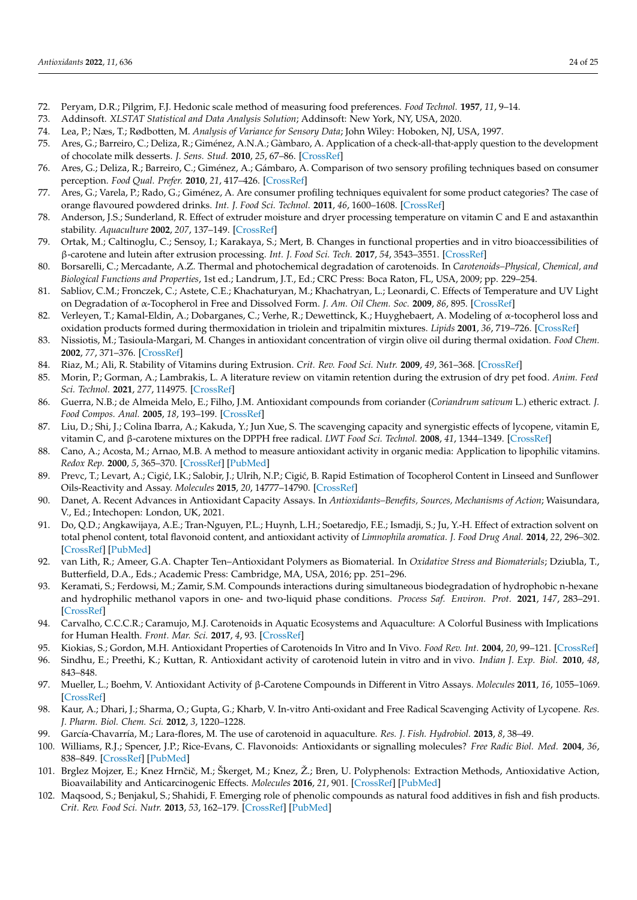- <span id="page-23-0"></span>72. Peryam, D.R.; Pilgrim, F.J. Hedonic scale method of measuring food preferences. *Food Technol.* **1957**, *11*, 9–14.
- <span id="page-23-1"></span>73. Addinsoft. *XLSTAT Statistical and Data Analysis Solution*; Addinsoft: New York, NY, USA, 2020.
- 74. Lea, P.; Næs, T.; Rødbotten, M. *Analysis of Variance for Sensory Data*; John Wiley: Hoboken, NJ, USA, 1997.
- <span id="page-23-2"></span>75. Ares, G.; Barreiro, C.; Deliza, R.; Giménez, A.N.A.; Gàmbaro, A. Application of a check-all-that-apply question to the development of chocolate milk desserts. *J. Sens. Stud.* **2010**, *25*, 67–86. [\[CrossRef\]](http://doi.org/10.1111/j.1745-459X.2010.00290.x)
- <span id="page-23-3"></span>76. Ares, G.; Deliza, R.; Barreiro, C.; Giménez, A.; Gámbaro, A. Comparison of two sensory profiling techniques based on consumer perception. *Food Qual. Prefer.* **2010**, *21*, 417–426. [\[CrossRef\]](http://doi.org/10.1016/j.foodqual.2009.10.006)
- <span id="page-23-4"></span>77. Ares, G.; Varela, P.; Rado, G.; Giménez, A. Are consumer profiling techniques equivalent for some product categories? The case of orange flavoured powdered drinks. *Int. J. Food Sci. Technol.* **2011**, *46*, 1600–1608. [\[CrossRef\]](http://doi.org/10.1111/j.1365-2621.2011.02657.x)
- <span id="page-23-5"></span>78. Anderson, J.S.; Sunderland, R. Effect of extruder moisture and dryer processing temperature on vitamin C and E and astaxanthin stability. *Aquaculture* **2002**, *207*, 137–149. [\[CrossRef\]](http://doi.org/10.1016/S0044-8486(01)00787-6)
- <span id="page-23-6"></span>79. Ortak, M.; Caltinoglu, C.; Sensoy, I.; Karakaya, S.; Mert, B. Changes in functional properties and in vitro bioaccessibilities of β-carotene and lutein after extrusion processing. *Int. J. Food Sci. Tech.* **2017**, *54*, 3543–3551. [\[CrossRef\]](http://doi.org/10.1007/s13197-017-2812-4)
- 80. Borsarelli, C.; Mercadante, A.Z. Thermal and photochemical degradation of carotenoids. In *Carotenoids–Physical, Chemical, and Biological Functions and Properties*, 1st ed.; Landrum, J.T., Ed.; CRC Press: Boca Raton, FL, USA, 2009; pp. 229–254.
- <span id="page-23-7"></span>81. Sabliov, C.M.; Fronczek, C.; Astete, C.E.; Khachaturyan, M.; Khachatryan, L.; Leonardi, C. Effects of Temperature and UV Light on Degradation of α-Tocopherol in Free and Dissolved Form. *J. Am. Oil Chem. Soc.* **2009**, *86*, 895. [\[CrossRef\]](http://doi.org/10.1007/s11746-009-1411-6)
- <span id="page-23-8"></span>82. Verleyen, T.; Kamal-Eldin, A.; Dobarganes, C.; Verhe, R.; Dewettinck, K.; Huyghebaert, A. Modeling of α-tocopherol loss and oxidation products formed during thermoxidation in triolein and tripalmitin mixtures. *Lipids* **2001**, *36*, 719–726. [\[CrossRef\]](http://doi.org/10.1007/s11745-001-0777-6)
- <span id="page-23-9"></span>83. Nissiotis, M.; Tasioula-Margari, M. Changes in antioxidant concentration of virgin olive oil during thermal oxidation. *Food Chem.* **2002**, *77*, 371–376. [\[CrossRef\]](http://doi.org/10.1016/S0308-8146(02)00113-9)
- <span id="page-23-10"></span>84. Riaz, M.; Ali, R. Stability of Vitamins during Extrusion. *Crit. Rev. Food Sci. Nutr.* **2009**, *49*, 361–368. [\[CrossRef\]](http://doi.org/10.1080/10408390802067290)
- <span id="page-23-12"></span>85. Morin, P.; Gorman, A.; Lambrakis, L. A literature review on vitamin retention during the extrusion of dry pet food. *Anim. Feed Sci. Technol.* **2021**, *277*, 114975. [\[CrossRef\]](http://doi.org/10.1016/j.anifeedsci.2021.114975)
- <span id="page-23-11"></span>86. Guerra, N.B.; de Almeida Melo, E.; Filho, J.M. Antioxidant compounds from coriander (*Coriandrum sativum* L.) etheric extract. *J. Food Compos. Anal.* **2005**, *18*, 193–199. [\[CrossRef\]](http://doi.org/10.1016/j.jfca.2003.12.006)
- <span id="page-23-13"></span>87. Liu, D.; Shi, J.; Colina Ibarra, A.; Kakuda, Y.; Jun Xue, S. The scavenging capacity and synergistic effects of lycopene, vitamin E, vitamin C, and β-carotene mixtures on the DPPH free radical. *LWT Food Sci. Technol.* **2008**, *41*, 1344–1349. [\[CrossRef\]](http://doi.org/10.1016/j.lwt.2007.08.001)
- <span id="page-23-14"></span>88. Cano, A.; Acosta, M.; Arnao, M.B. A method to measure antioxidant activity in organic media: Application to lipophilic vitamins. *Redox Rep.* **2000**, *5*, 365–370. [\[CrossRef\]](http://doi.org/10.1179/135100000101535933) [\[PubMed\]](http://www.ncbi.nlm.nih.gov/pubmed/11140747)
- <span id="page-23-15"></span>89. Prevc, T.; Levart, A.; Cigić, I.K.; Salobir, J.; Ulrih, N.P.; Cigić, B. Rapid Estimation of Tocopherol Content in Linseed and Sunflower Oils-Reactivity and Assay. *Molecules* **2015**, *20*, 14777–14790. [\[CrossRef\]](http://doi.org/10.3390/molecules200814777)
- <span id="page-23-16"></span>90. Danet, A. Recent Advances in Antioxidant Capacity Assays. In *Antioxidants–Benefits, Sources, Mechanisms of Action*; Waisundara, V., Ed.; Intechopen: London, UK, 2021.
- <span id="page-23-17"></span>91. Do, Q.D.; Angkawijaya, A.E.; Tran-Nguyen, P.L.; Huynh, L.H.; Soetaredjo, F.E.; Ismadji, S.; Ju, Y.-H. Effect of extraction solvent on total phenol content, total flavonoid content, and antioxidant activity of *Limnophila aromatica*. *J. Food Drug Anal.* **2014**, *22*, 296–302. [\[CrossRef\]](http://doi.org/10.1016/j.jfda.2013.11.001) [\[PubMed\]](http://www.ncbi.nlm.nih.gov/pubmed/28911418)
- <span id="page-23-18"></span>92. van Lith, R.; Ameer, G.A. Chapter Ten–Antioxidant Polymers as Biomaterial. In *Oxidative Stress and Biomaterials*; Dziubla, T., Butterfield, D.A., Eds.; Academic Press: Cambridge, MA, USA, 2016; pp. 251–296.
- <span id="page-23-19"></span>93. Keramati, S.; Ferdowsi, M.; Zamir, S.M. Compounds interactions during simultaneous biodegradation of hydrophobic n-hexane and hydrophilic methanol vapors in one- and two-liquid phase conditions. *Process Saf. Environ. Prot.* **2021**, *147*, 283–291. [\[CrossRef\]](http://doi.org/10.1016/j.psep.2020.09.040)
- <span id="page-23-20"></span>94. Carvalho, C.C.C.R.; Caramujo, M.J. Carotenoids in Aquatic Ecosystems and Aquaculture: A Colorful Business with Implications for Human Health. *Front. Mar. Sci.* **2017**, *4*, 93. [\[CrossRef\]](http://doi.org/10.3389/fmars.2017.00093)
- <span id="page-23-21"></span>95. Kiokias, S.; Gordon, M.H. Antioxidant Properties of Carotenoids In Vitro and In Vivo. *Food Rev. Int.* **2004**, *20*, 99–121. [\[CrossRef\]](http://doi.org/10.1081/FRI-120037155)
- <span id="page-23-22"></span>96. Sindhu, E.; Preethi, K.; Kuttan, R. Antioxidant activity of carotenoid lutein in vitro and in vivo. *Indian J. Exp. Biol.* **2010**, *48*, 843–848.
- <span id="page-23-23"></span>97. Mueller, L.; Boehm, V. Antioxidant Activity of β-Carotene Compounds in Different in Vitro Assays. *Molecules* **2011**, *16*, 1055–1069. [\[CrossRef\]](http://doi.org/10.3390/molecules16021055)
- <span id="page-23-24"></span>98. Kaur, A.; Dhari, J.; Sharma, O.; Gupta, G.; Kharb, V. In-vitro Anti-oxidant and Free Radical Scavenging Activity of Lycopene. *Res. J. Pharm. Biol. Chem. Sci.* **2012**, *3*, 1220–1228.
- <span id="page-23-25"></span>99. García-Chavarría, M.; Lara-flores, M. The use of carotenoid in aquaculture. *Res. J. Fish. Hydrobiol.* **2013**, *8*, 38–49.
- <span id="page-23-26"></span>100. Williams, R.J.; Spencer, J.P.; Rice-Evans, C. Flavonoids: Antioxidants or signalling molecules? *Free Radic Biol. Med.* **2004**, *36*, 838–849. [\[CrossRef\]](http://doi.org/10.1016/j.freeradbiomed.2004.01.001) [\[PubMed\]](http://www.ncbi.nlm.nih.gov/pubmed/15019969)
- <span id="page-23-27"></span>101. Brglez Mojzer, E.; Knez Hrnˇciˇc, M.; Škerget, M.; Knez, Ž.; Bren, U. Polyphenols: Extraction Methods, Antioxidative Action, Bioavailability and Anticarcinogenic Effects. *Molecules* **2016**, *21*, 901. [\[CrossRef\]](http://doi.org/10.3390/molecules21070901) [\[PubMed\]](http://www.ncbi.nlm.nih.gov/pubmed/27409600)
- <span id="page-23-28"></span>102. Maqsood, S.; Benjakul, S.; Shahidi, F. Emerging role of phenolic compounds as natural food additives in fish and fish products. *Crit. Rev. Food Sci. Nutr.* **2013**, *53*, 162–179. [\[CrossRef\]](http://doi.org/10.1080/10408398.2010.518775) [\[PubMed\]](http://www.ncbi.nlm.nih.gov/pubmed/23072531)